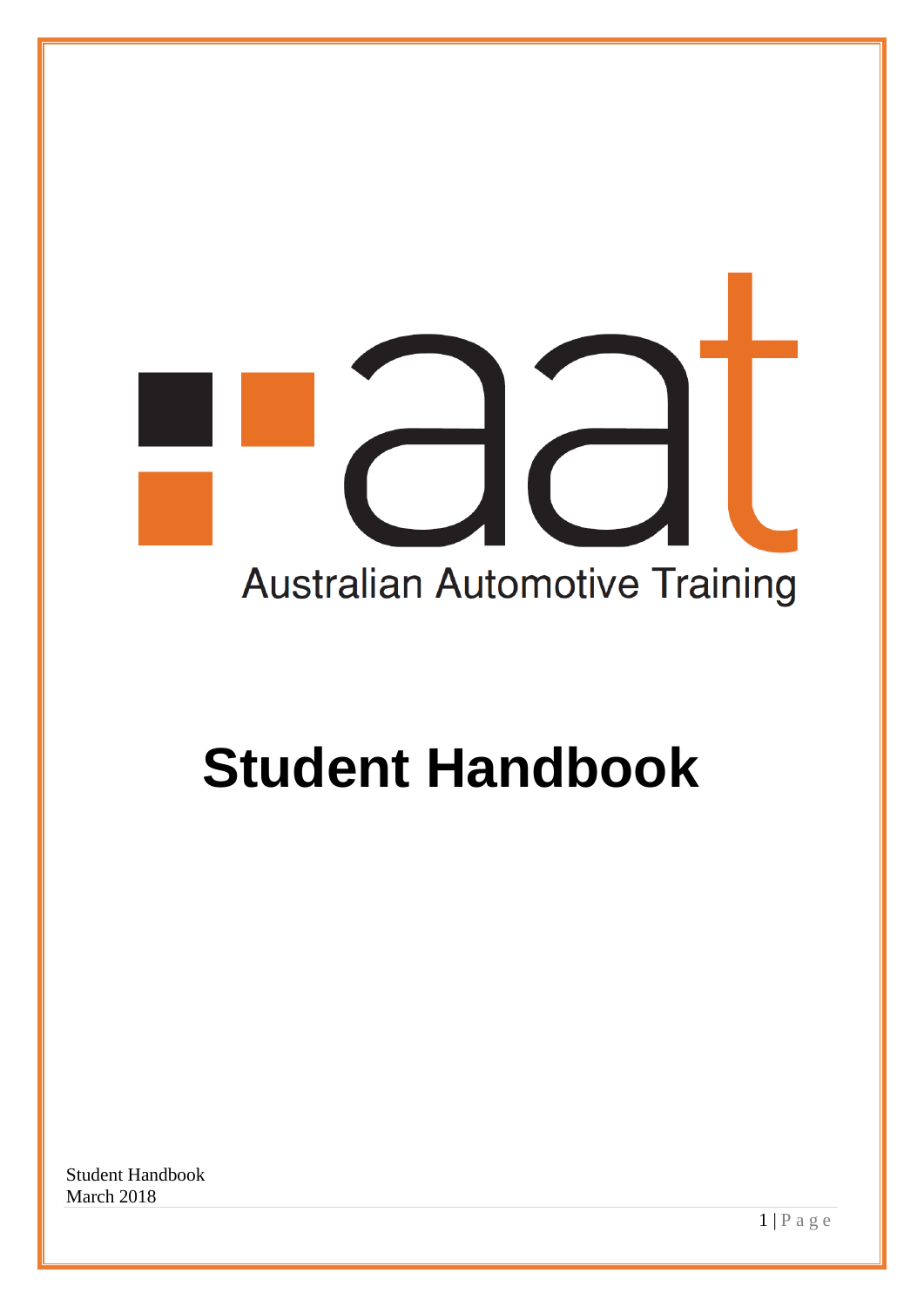# **Australian Automotive Training**

# **Student Handbook**

Student Handbook March 2018

 $1 | P a g e$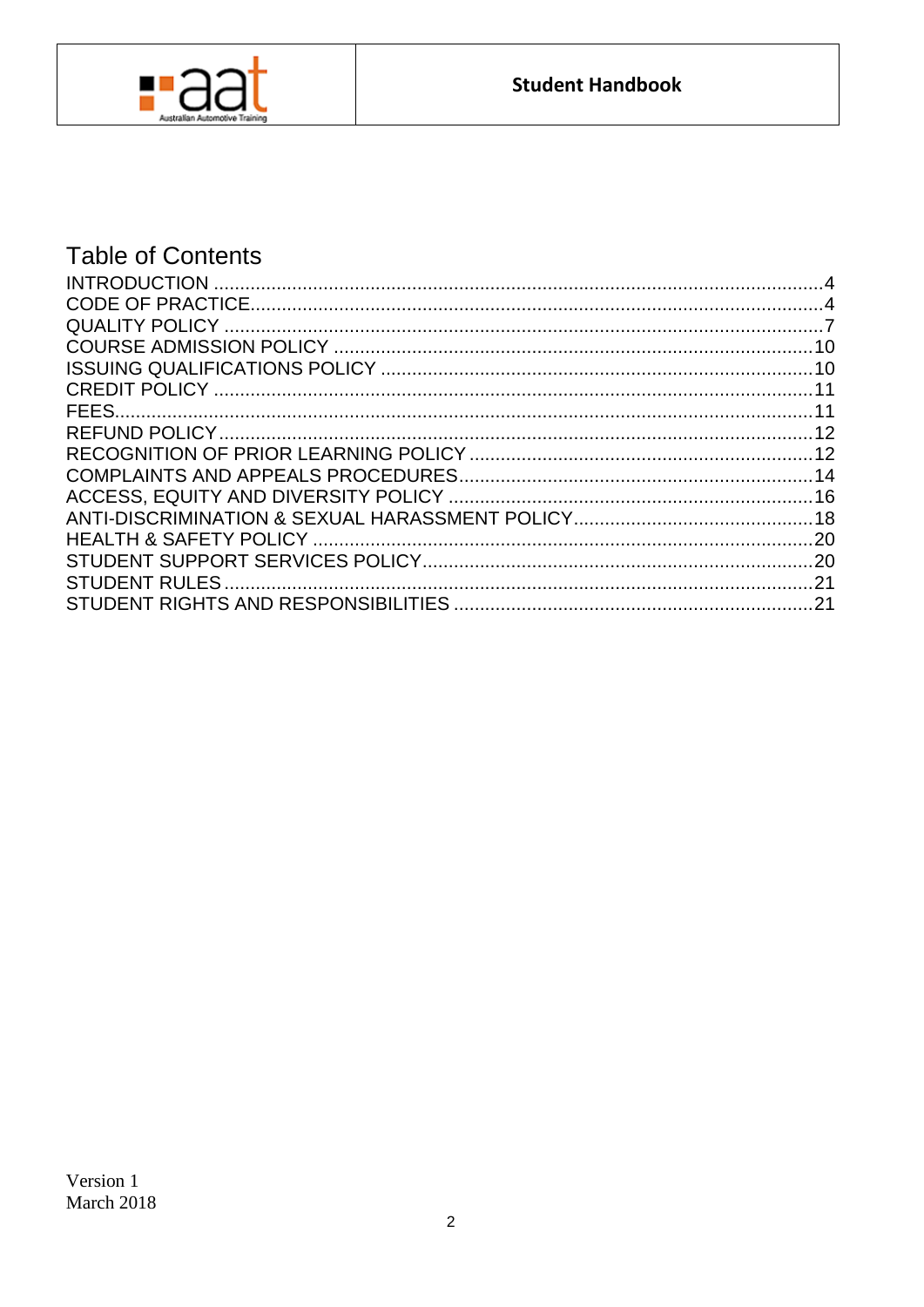



# **Table of Contents**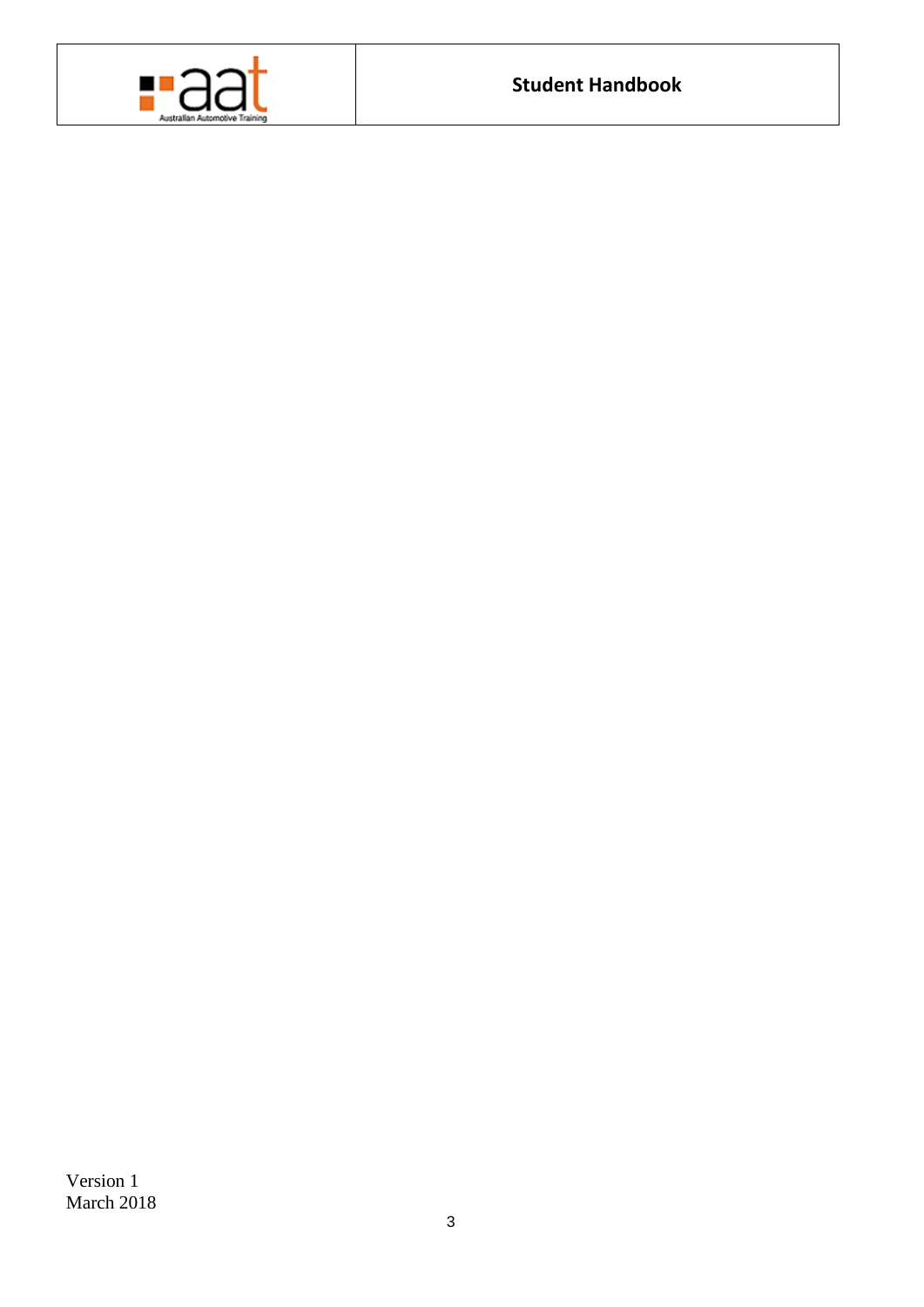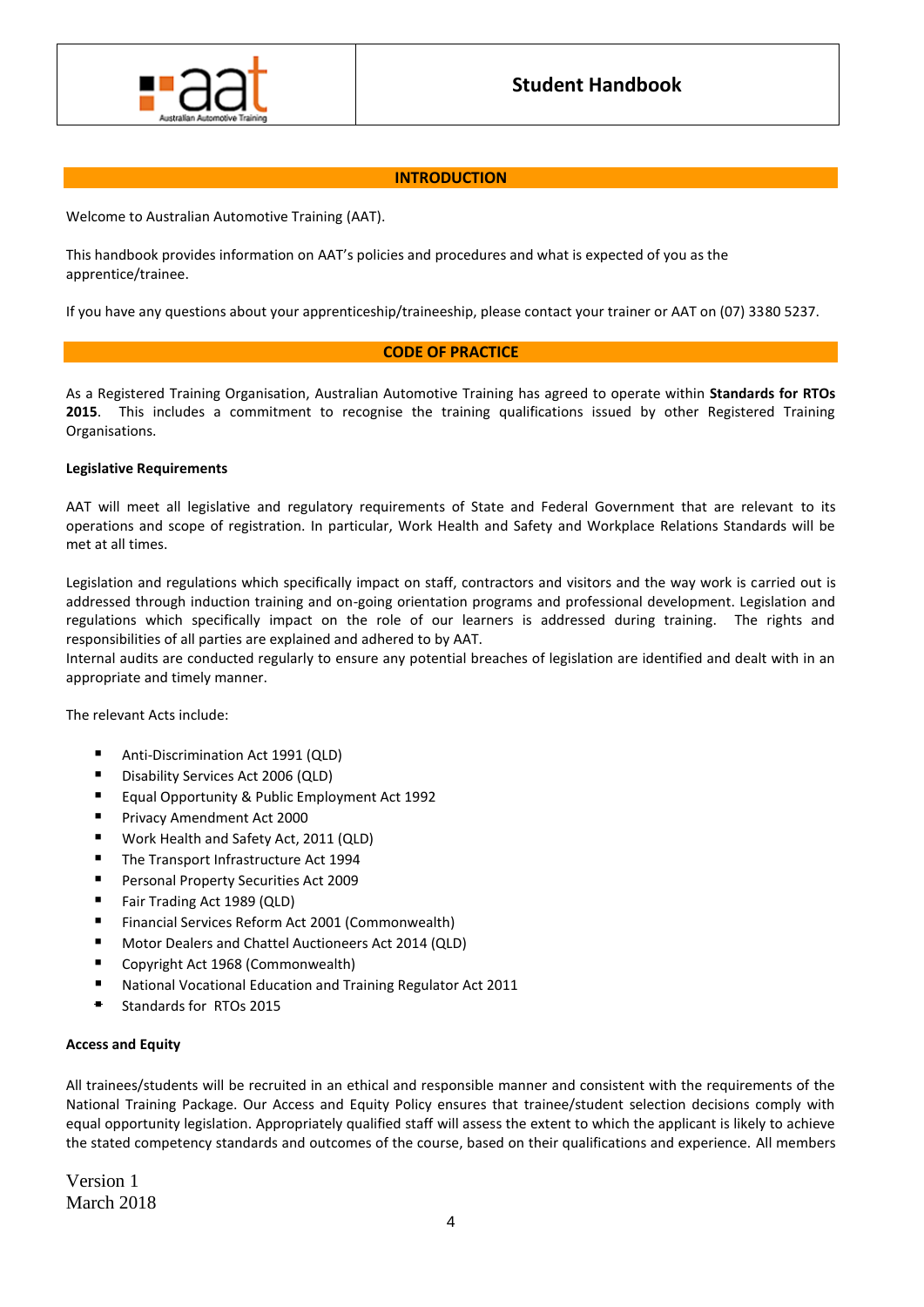

### **INTRODUCTION**

<span id="page-3-0"></span>Welcome to Australian Automotive Training (AAT).

This handbook provides information on AAT's policies and procedures and what is expected of you as the apprentice/trainee.

<span id="page-3-1"></span>If you have any questions about your apprenticeship/traineeship, please contact your trainer or AAT on (07) 3380 5237.

### **CODE OF PRACTICE**

As a Registered Training Organisation, Australian Automotive Training has agreed to operate within **Standards for RTOs 2015**. This includes a commitment to recognise the training qualifications issued by other Registered Training Organisations.

### **Legislative Requirements**

AAT will meet all legislative and regulatory requirements of State and Federal Government that are relevant to its operations and scope of registration. In particular, Work Health and Safety and Workplace Relations Standards will be met at all times.

Legislation and regulations which specifically impact on staff, contractors and visitors and the way work is carried out is addressed through induction training and on-going orientation programs and professional development. Legislation and regulations which specifically impact on the role of our learners is addressed during training. The rights and responsibilities of all parties are explained and adhered to by AAT.

Internal audits are conducted regularly to ensure any potential breaches of legislation are identified and dealt with in an appropriate and timely manner.

The relevant Acts include:

- Anti-Discrimination Act 1991 (QLD)
- Disability Services Act 2006 (QLD)
- Equal Opportunity & Public Employment Act 1992
- Privacy Amendment Act 2000
- Work Health and Safety Act, 2011 (QLD)
- The Transport Infrastructure Act 1994
- Personal Property Securities Act 2009
- Fair Trading Act 1989 (QLD)
- Financial Services Reform Act 2001 (Commonwealth)
- Motor Dealers and Chattel Auctioneers Act 2014 (QLD)
- Copyright Act 1968 (Commonwealth)
- National Vocational Education and Training Regulator Act 2011
- Standards for RTOs 2015

### **Access and Equity**

All trainees/students will be recruited in an ethical and responsible manner and consistent with the requirements of the National Training Package. Our Access and Equity Policy ensures that trainee/student selection decisions comply with equal opportunity legislation. Appropriately qualified staff will assess the extent to which the applicant is likely to achieve the stated competency standards and outcomes of the course, based on their qualifications and experience. All members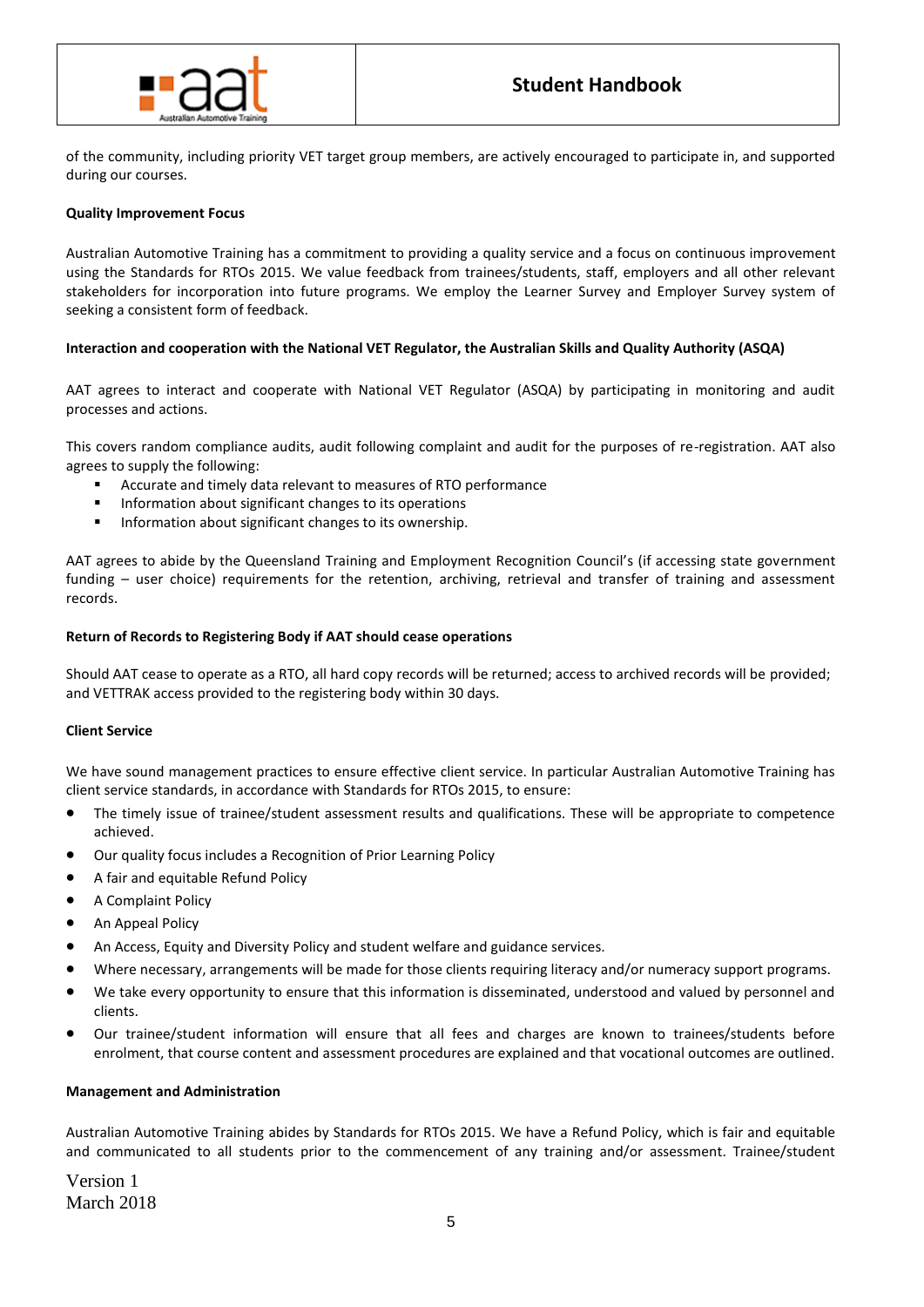

of the community, including priority VET target group members, are actively encouraged to participate in, and supported during our courses.

### **Quality Improvement Focus**

Australian Automotive Training has a commitment to providing a quality service and a focus on continuous improvement using the Standards for RTOs 2015. We value feedback from trainees/students, staff, employers and all other relevant stakeholders for incorporation into future programs. We employ the Learner Survey and Employer Survey system of seeking a consistent form of feedback.

### **Interaction and cooperation with the National VET Regulator, the Australian Skills and Quality Authority (ASQA)**

AAT agrees to interact and cooperate with National VET Regulator (ASQA) by participating in monitoring and audit processes and actions.

This covers random compliance audits, audit following complaint and audit for the purposes of re-registration. AAT also agrees to supply the following:

- Accurate and timely data relevant to measures of RTO performance
- Information about significant changes to its operations
- Information about significant changes to its ownership.

AAT agrees to abide by the Queensland Training and Employment Recognition Council's (if accessing state government funding – user choice) requirements for the retention, archiving, retrieval and transfer of training and assessment records.

### **Return of Records to Registering Body if AAT should cease operations**

Should AAT cease to operate as a RTO, all hard copy records will be returned; access to archived records will be provided; and VETTRAK access provided to the registering body within 30 days.

### **Client Service**

We have sound management practices to ensure effective client service. In particular Australian Automotive Training has client service standards, in accordance with Standards for RTOs 2015, to ensure:

- The timely issue of trainee/student assessment results and qualifications. These will be appropriate to competence achieved.
- Our quality focus includes a Recognition of Prior Learning Policy
- A fair and equitable Refund Policy
- A Complaint Policy
- An Appeal Policy
- An Access, Equity and Diversity Policy and student welfare and guidance services.
- Where necessary, arrangements will be made for those clients requiring literacy and/or numeracy support programs.
- We take every opportunity to ensure that this information is disseminated, understood and valued by personnel and clients.
- Our trainee/student information will ensure that all fees and charges are known to trainees/students before enrolment, that course content and assessment procedures are explained and that vocational outcomes are outlined.

### **Management and Administration**

Australian Automotive Training abides by Standards for RTOs 2015. We have a Refund Policy, which is fair and equitable and communicated to all students prior to the commencement of any training and/or assessment. Trainee/student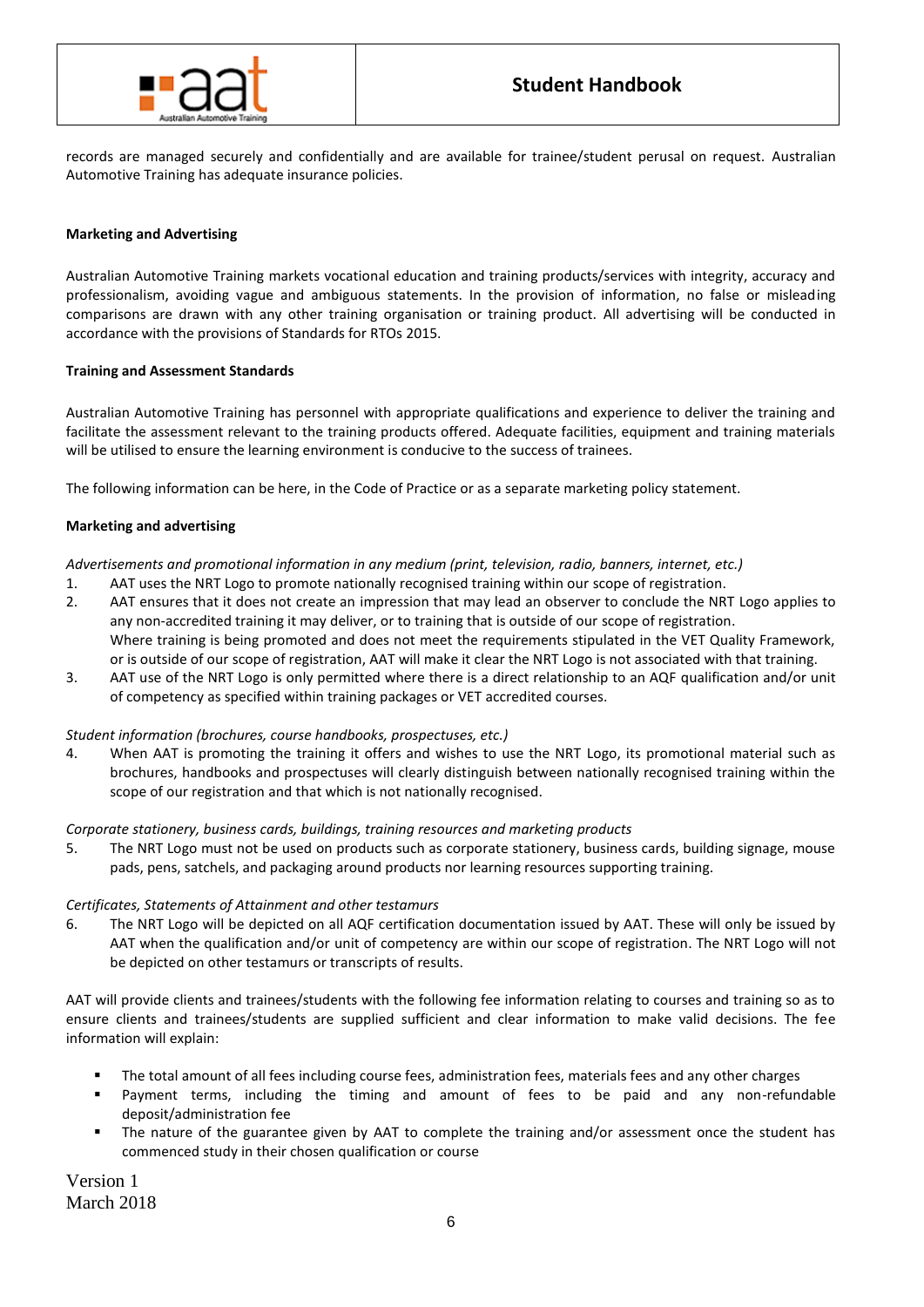

records are managed securely and confidentially and are available for trainee/student perusal on request. Australian Automotive Training has adequate insurance policies.

### **Marketing and Advertising**

Australian Automotive Training markets vocational education and training products/services with integrity, accuracy and professionalism, avoiding vague and ambiguous statements. In the provision of information, no false or misleading comparisons are drawn with any other training organisation or training product. All advertising will be conducted in accordance with the provisions of Standards for RTOs 2015.

### **Training and Assessment Standards**

Australian Automotive Training has personnel with appropriate qualifications and experience to deliver the training and facilitate the assessment relevant to the training products offered. Adequate facilities, equipment and training materials will be utilised to ensure the learning environment is conducive to the success of trainees.

The following information can be here, in the Code of Practice or as a separate marketing policy statement.

### **Marketing and advertising**

*Advertisements and promotional information in any medium (print, television, radio, banners, internet, etc.)* 

- 1. AAT uses the NRT Logo to promote nationally recognised training within our scope of registration.
- 2. AAT ensures that it does not create an impression that may lead an observer to conclude the NRT Logo applies to any non-accredited training it may deliver, or to training that is outside of our scope of registration. Where training is being promoted and does not meet the requirements stipulated in the VET Quality Framework, or is outside of our scope of registration, AAT will make it clear the NRT Logo is not associated with that training.
- 3. AAT use of the NRT Logo is only permitted where there is a direct relationship to an AQF qualification and/or unit of competency as specified within training packages or VET accredited courses.

*Student information (brochures, course handbooks, prospectuses, etc.)* 

4. When AAT is promoting the training it offers and wishes to use the NRT Logo, its promotional material such as brochures, handbooks and prospectuses will clearly distinguish between nationally recognised training within the scope of our registration and that which is not nationally recognised.

*Corporate stationery, business cards, buildings, training resources and marketing products* 

5. The NRT Logo must not be used on products such as corporate stationery, business cards, building signage, mouse pads, pens, satchels, and packaging around products nor learning resources supporting training.

### *Certificates, Statements of Attainment and other testamurs*

6. The NRT Logo will be depicted on all AQF certification documentation issued by AAT. These will only be issued by AAT when the qualification and/or unit of competency are within our scope of registration. The NRT Logo will not be depicted on other testamurs or transcripts of results.

AAT will provide clients and trainees/students with the following fee information relating to courses and training so as to ensure clients and trainees/students are supplied sufficient and clear information to make valid decisions. The fee information will explain:

- The total amount of all fees including course fees, administration fees, materials fees and any other charges
- Payment terms, including the timing and amount of fees to be paid and any non-refundable deposit/administration fee
- The nature of the guarantee given by AAT to complete the training and/or assessment once the student has commenced study in their chosen qualification or course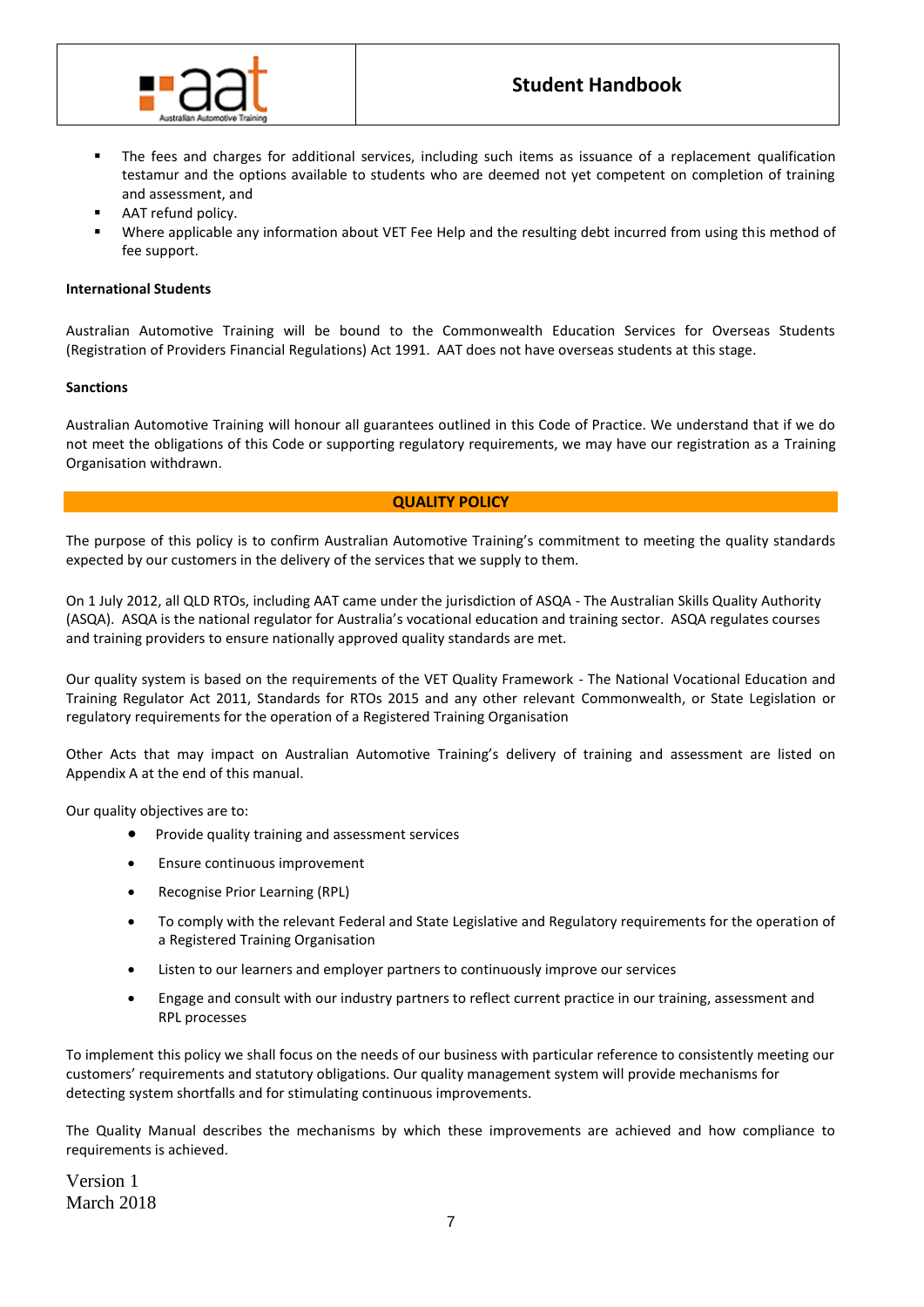

- The fees and charges for additional services, including such items as issuance of a replacement qualification testamur and the options available to students who are deemed not yet competent on completion of training and assessment, and
- AAT refund policy.
- Where applicable any information about VET Fee Help and the resulting debt incurred from using this method of fee support.

### **International Students**

Australian Automotive Training will be bound to the Commonwealth Education Services for Overseas Students (Registration of Providers Financial Regulations) Act 1991. AAT does not have overseas students at this stage.

### **Sanctions**

Australian Automotive Training will honour all guarantees outlined in this Code of Practice. We understand that if we do not meet the obligations of this Code or supporting regulatory requirements, we may have our registration as a Training Organisation withdrawn.

### **QUALITY POLICY**

<span id="page-6-0"></span>The purpose of this policy is to confirm Australian Automotive Training's commitment to meeting the quality standards expected by our customers in the delivery of the services that we supply to them.

On 1 July 2012, all QLD RTOs, including AAT came under the jurisdiction of ASQA - The Australian Skills Quality Authority (ASQA). ASQA is the national regulator for Australia's vocational education and training sector. ASQA regulates courses and training providers to ensure nationally approved quality standards are met.

Our quality system is based on the requirements of the VET Quality Framework - The National Vocational Education and Training Regulator Act 2011, Standards for RTOs 2015 and any other relevant Commonwealth, or State Legislation or regulatory requirements for the operation of a Registered Training Organisation

Other Acts that may impact on Australian Automotive Training's delivery of training and assessment are listed on Appendix A at the end of this manual.

Our quality objectives are to:

- Provide quality training and assessment services
- Ensure continuous improvement
- Recognise Prior Learning (RPL)
- To comply with the relevant Federal and State Legislative and Regulatory requirements for the operation of a Registered Training Organisation
- Listen to our learners and employer partners to continuously improve our services
- Engage and consult with our industry partners to reflect current practice in our training, assessment and RPL processes

To implement this policy we shall focus on the needs of our business with particular reference to consistently meeting our customers' requirements and statutory obligations. Our quality management system will provide mechanisms for detecting system shortfalls and for stimulating continuous improvements.

The Quality Manual describes the mechanisms by which these improvements are achieved and how compliance to requirements is achieved.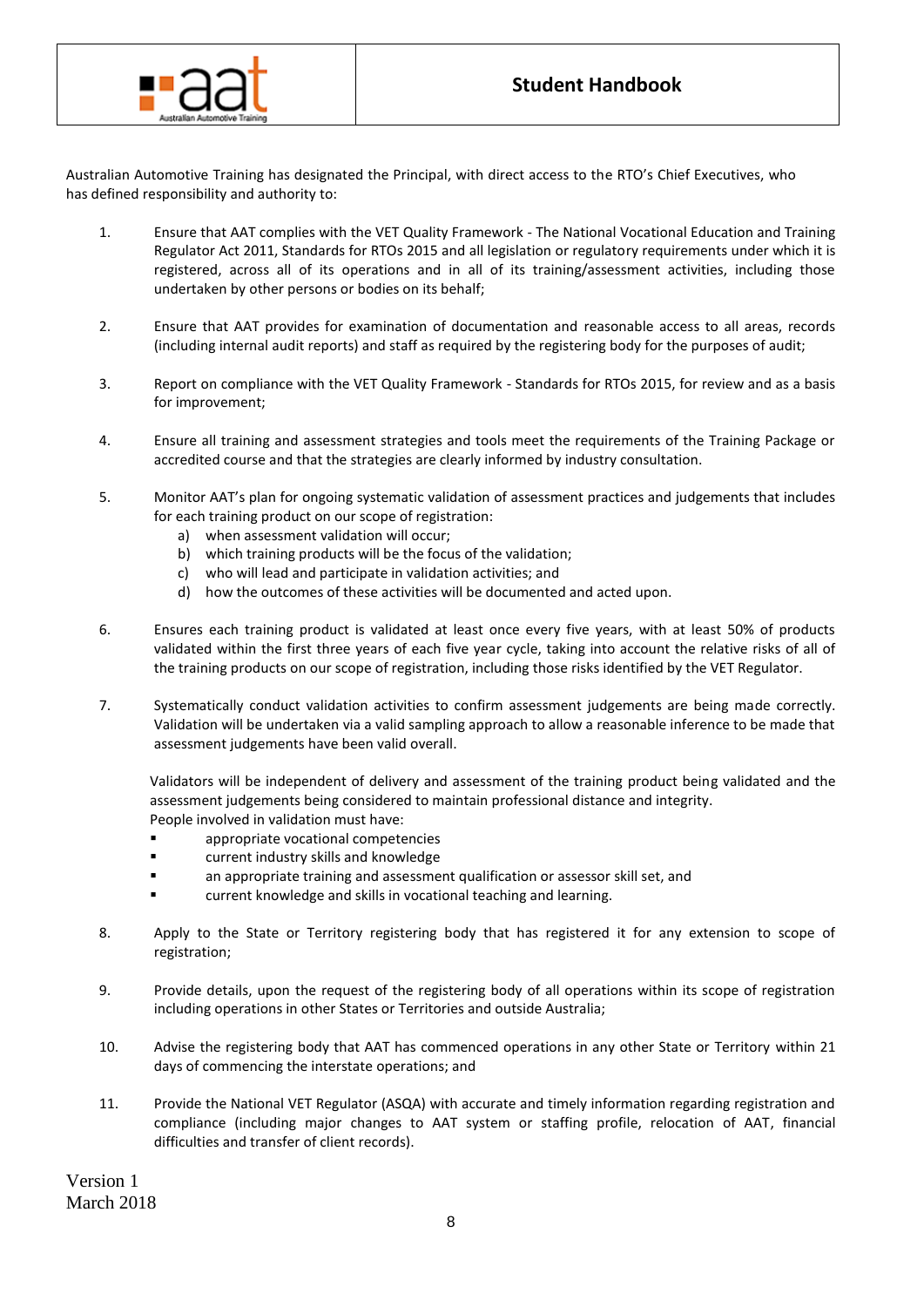

Australian Automotive Training has designated the Principal, with direct access to the RTO's Chief Executives, who has defined responsibility and authority to:

- 1. Ensure that AAT complies with the VET Quality Framework The National Vocational Education and Training Regulator Act 2011, Standards for RTOs 2015 and all legislation or regulatory requirements under which it is registered, across all of its operations and in all of its training/assessment activities, including those undertaken by other persons or bodies on its behalf;
- 2. Ensure that AAT provides for examination of documentation and reasonable access to all areas, records (including internal audit reports) and staff as required by the registering body for the purposes of audit;
- 3. Report on compliance with the VET Quality Framework Standards for RTOs 2015, for review and as a basis for improvement;
- 4. Ensure all training and assessment strategies and tools meet the requirements of the Training Package or accredited course and that the strategies are clearly informed by industry consultation.
- 5. Monitor AAT's plan for ongoing systematic validation of assessment practices and judgements that includes for each training product on our scope of registration:
	- a) when assessment validation will occur;
	- b) which training products will be the focus of the validation;
	- c) who will lead and participate in validation activities; and
	- d) how the outcomes of these activities will be documented and acted upon.
- 6. Ensures each training product is validated at least once every five years, with at least 50% of products validated within the first three years of each five year cycle, taking into account the relative risks of all of the training products on our scope of registration, including those risks identified by the VET Regulator.
- 7. Systematically conduct validation activities to confirm assessment judgements are being made correctly. Validation will be undertaken via a valid sampling approach to allow a reasonable inference to be made that assessment judgements have been valid overall.

Validators will be independent of delivery and assessment of the training product being validated and the assessment judgements being considered to maintain professional distance and integrity. People involved in validation must have:

- appropriate vocational competencies
- current industry skills and knowledge
- an appropriate training and assessment qualification or assessor skill set, and
- current knowledge and skills in vocational teaching and learning.
- 8. Apply to the State or Territory registering body that has registered it for any extension to scope of registration;
- 9. Provide details, upon the request of the registering body of all operations within its scope of registration including operations in other States or Territories and outside Australia;
- 10. Advise the registering body that AAT has commenced operations in any other State or Territory within 21 days of commencing the interstate operations; and
- 11. Provide the National VET Regulator (ASQA) with accurate and timely information regarding registration and compliance (including major changes to AAT system or staffing profile, relocation of AAT, financial difficulties and transfer of client records).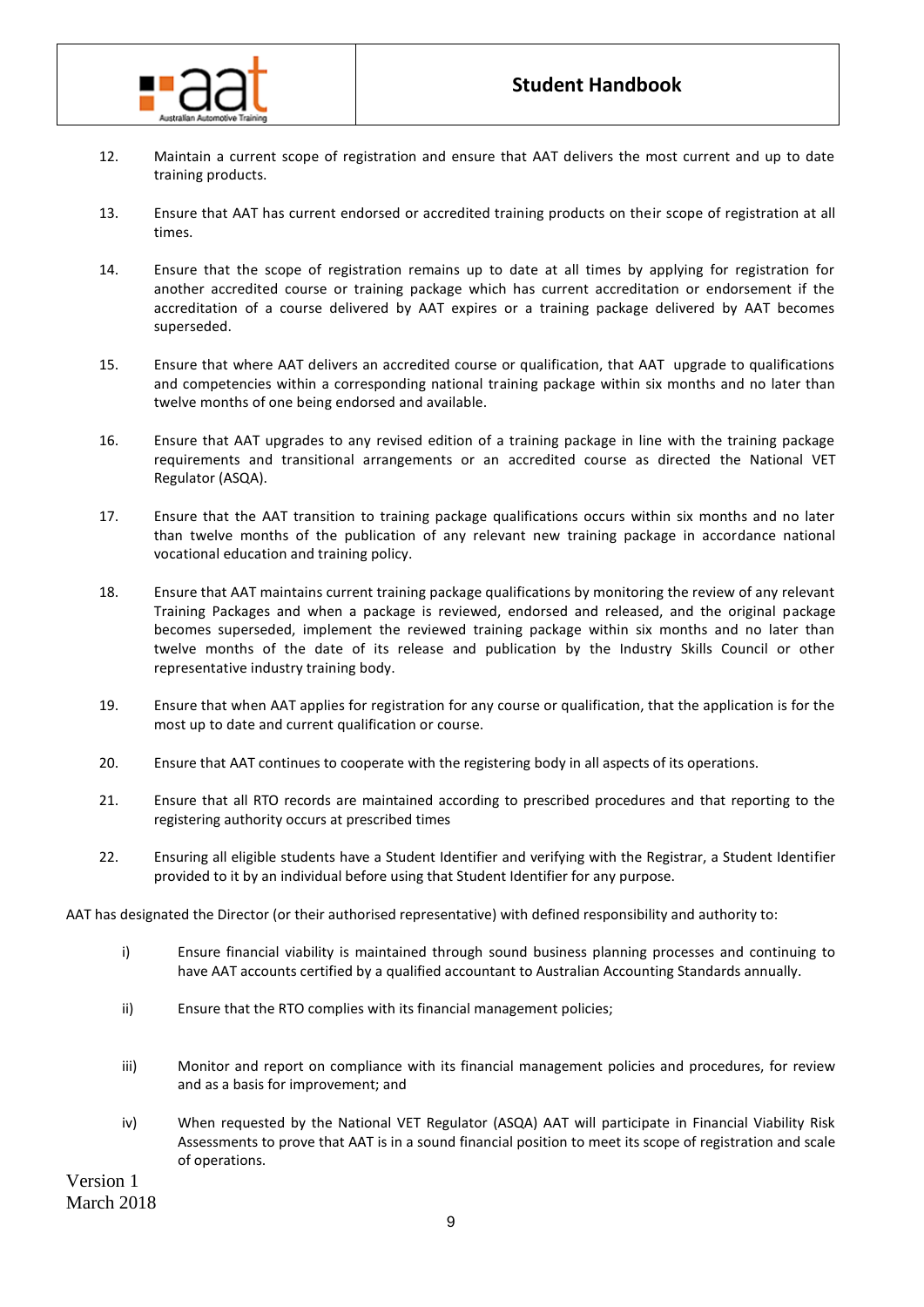

- 12. Maintain a current scope of registration and ensure that AAT delivers the most current and up to date training products.
- 13. Ensure that AAT has current endorsed or accredited training products on their scope of registration at all times.
- 14. Ensure that the scope of registration remains up to date at all times by applying for registration for another accredited course or training package which has current accreditation or endorsement if the accreditation of a course delivered by AAT expires or a training package delivered by AAT becomes superseded.
- 15. Ensure that where AAT delivers an accredited course or qualification, that AAT upgrade to qualifications and competencies within a corresponding national training package within six months and no later than twelve months of one being endorsed and available.
- 16. Ensure that AAT upgrades to any revised edition of a training package in line with the training package requirements and transitional arrangements or an accredited course as directed the National VET Regulator (ASQA).
- 17. Ensure that the AAT transition to training package qualifications occurs within six months and no later than twelve months of the publication of any relevant new training package in accordance national vocational education and training policy.
- 18. Ensure that AAT maintains current training package qualifications by monitoring the review of any relevant Training Packages and when a package is reviewed, endorsed and released, and the original package becomes superseded, implement the reviewed training package within six months and no later than twelve months of the date of its release and publication by the Industry Skills Council or other representative industry training body.
- 19. Ensure that when AAT applies for registration for any course or qualification, that the application is for the most up to date and current qualification or course.
- 20. Ensure that AAT continues to cooperate with the registering body in all aspects of its operations.
- 21. Ensure that all RTO records are maintained according to prescribed procedures and that reporting to the registering authority occurs at prescribed times
- 22. Ensuring all eligible students have a Student Identifier and verifying with the Registrar, a Student Identifier provided to it by an individual before using that Student Identifier for any purpose.

AAT has designated the Director (or their authorised representative) with defined responsibility and authority to:

- i) Ensure financial viability is maintained through sound business planning processes and continuing to have AAT accounts certified by a qualified accountant to Australian Accounting Standards annually.
- ii) Ensure that the RTO complies with its financial management policies;
- iii) Monitor and report on compliance with its financial management policies and procedures, for review and as a basis for improvement; and
- iv) When requested by the National VET Regulator (ASQA) AAT will participate in Financial Viability Risk Assessments to prove that AAT is in a sound financial position to meet its scope of registration and scale of operations.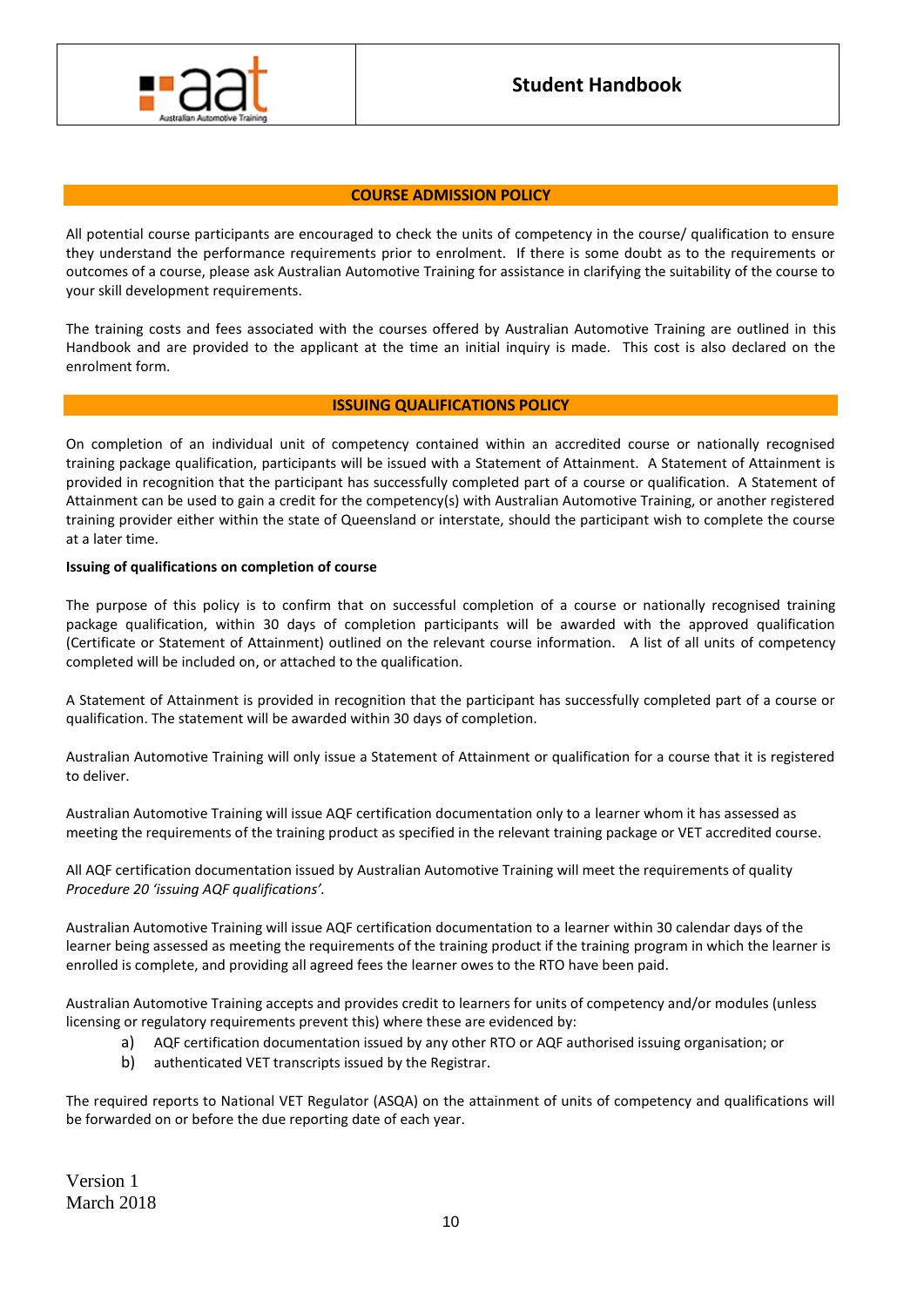

### **COURSE ADMISSION POLICY**

<span id="page-9-0"></span>All potential course participants are encouraged to check the units of competency in the course/ qualification to ensure they understand the performance requirements prior to enrolment. If there is some doubt as to the requirements or outcomes of a course, please ask Australian Automotive Training for assistance in clarifying the suitability of the course to your skill development requirements.

The training costs and fees associated with the courses offered by Australian Automotive Training are outlined in this Handbook and are provided to the applicant at the time an initial inquiry is made. This cost is also declared on the enrolment form.

### **ISSUING QUALIFICATIONS POLICY**

<span id="page-9-1"></span>On completion of an individual unit of competency contained within an accredited course or nationally recognised training package qualification, participants will be issued with a Statement of Attainment. A Statement of Attainment is provided in recognition that the participant has successfully completed part of a course or qualification. A Statement of Attainment can be used to gain a credit for the competency(s) with Australian Automotive Training, or another registered training provider either within the state of Queensland or interstate, should the participant wish to complete the course at a later time.

### **Issuing of qualifications on completion of course**

The purpose of this policy is to confirm that on successful completion of a course or nationally recognised training package qualification, within 30 days of completion participants will be awarded with the approved qualification (Certificate or Statement of Attainment) outlined on the relevant course information. A list of all units of competency completed will be included on, or attached to the qualification.

A Statement of Attainment is provided in recognition that the participant has successfully completed part of a course or qualification. The statement will be awarded within 30 days of completion.

Australian Automotive Training will only issue a Statement of Attainment or qualification for a course that it is registered to deliver.

Australian Automotive Training will issue AQF certification documentation only to a learner whom it has assessed as meeting the requirements of the training product as specified in the relevant training package or VET accredited course.

All AQF certification documentation issued by Australian Automotive Training will meet the requirements of quality *Procedure 20 'issuing AQF qualifications'.*

Australian Automotive Training will issue AQF certification documentation to a learner within 30 calendar days of the learner being assessed as meeting the requirements of the training product if the training program in which the learner is enrolled is complete, and providing all agreed fees the learner owes to the RTO have been paid.

Australian Automotive Training accepts and provides credit to learners for units of competency and/or modules (unless licensing or regulatory requirements prevent this) where these are evidenced by:

- a) AQF certification documentation issued by any other RTO or AQF authorised issuing organisation; or
- b) authenticated VET transcripts issued by the Registrar.

The required reports to National VET Regulator (ASQA) on the attainment of units of competency and qualifications will be forwarded on or before the due reporting date of each year.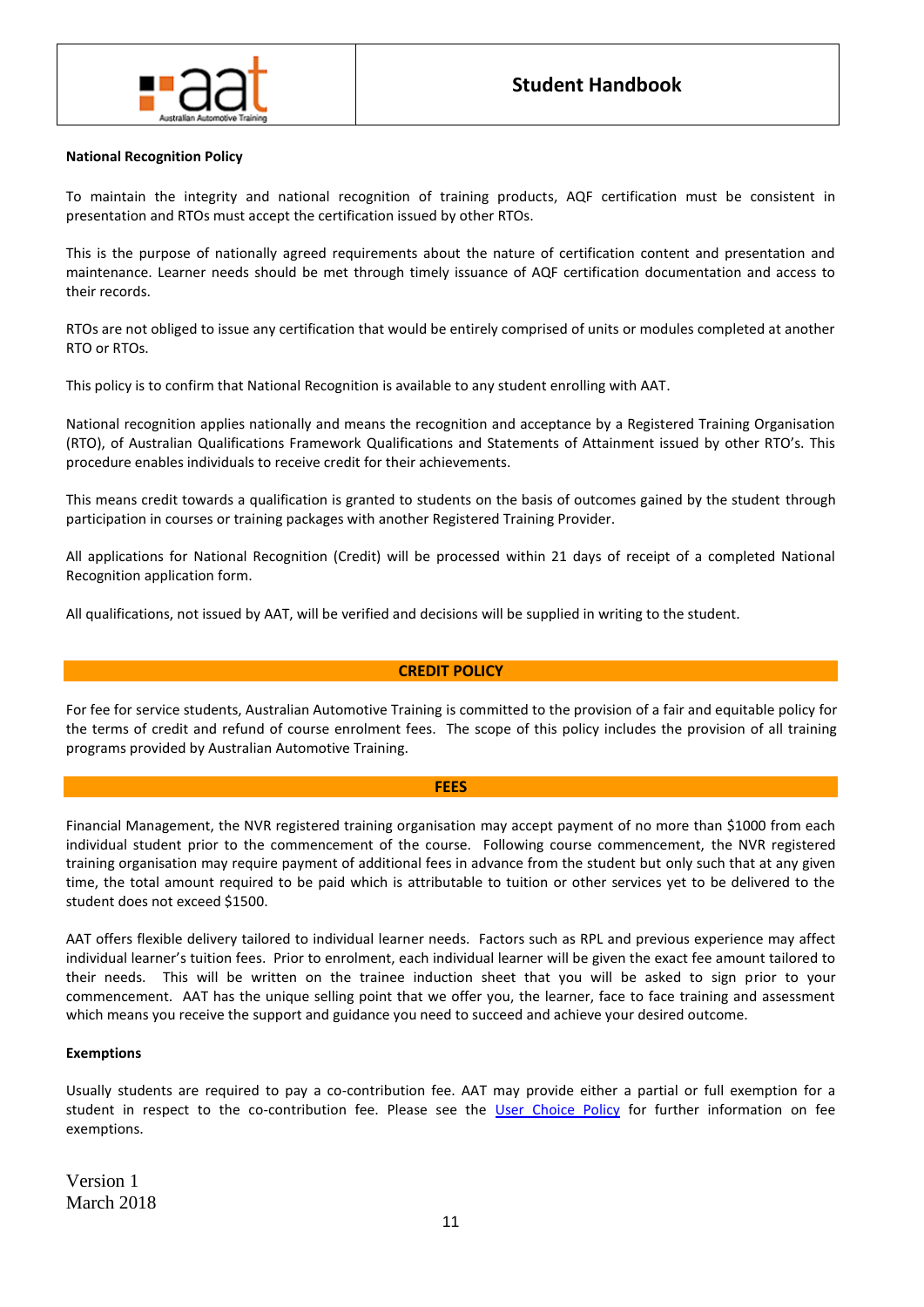

### **National Recognition Policy**

To maintain the integrity and national recognition of training products, AQF certification must be consistent in presentation and RTOs must accept the certification issued by other RTOs.

This is the purpose of nationally agreed requirements about the nature of certification content and presentation and maintenance. Learner needs should be met through timely issuance of AQF certification documentation and access to their records.

RTOs are not obliged to issue any certification that would be entirely comprised of units or modules completed at another RTO or RTOs.

This policy is to confirm that National Recognition is available to any student enrolling with AAT.

National recognition applies nationally and means the recognition and acceptance by a Registered Training Organisation (RTO), of Australian Qualifications Framework Qualifications and Statements of Attainment issued by other RTO's. This procedure enables individuals to receive credit for their achievements.

This means credit towards a qualification is granted to students on the basis of outcomes gained by the student through participation in courses or training packages with another Registered Training Provider.

All applications for National Recognition (Credit) will be processed within 21 days of receipt of a completed National Recognition application form.

All qualifications, not issued by AAT, will be verified and decisions will be supplied in writing to the student.

### **CREDIT POLICY**

<span id="page-10-0"></span>For fee for service students, Australian Automotive Training is committed to the provision of a fair and equitable policy for the terms of credit and refund of course enrolment fees. The scope of this policy includes the provision of all training programs provided by Australian Automotive Training.

### **FEES**

<span id="page-10-1"></span>Financial Management, the NVR registered training organisation may accept payment of no more than \$1000 from each individual student prior to the commencement of the course. Following course commencement, the NVR registered training organisation may require payment of additional fees in advance from the student but only such that at any given time, the total amount required to be paid which is attributable to tuition or other services yet to be delivered to the student does not exceed \$1500.

AAT offers flexible delivery tailored to individual learner needs. Factors such as RPL and previous experience may affect individual learner's tuition fees. Prior to enrolment, each individual learner will be given the exact fee amount tailored to their needs. This will be written on the trainee induction sheet that you will be asked to sign prior to your commencement. AAT has the unique selling point that we offer you, the learner, face to face training and assessment which means you receive the support and guidance you need to succeed and achieve your desired outcome.

### **Exemptions**

Usually students are required to pay a co-contribution fee. AAT may provide either a partial or full exemption for a student in respect to the co-contribution fee. Please see the [User Choice Policy](https://training.qld.gov.au/site/providers/Documents/pqs/become/user-choice-policy.pdf) for further information on fee exemptions.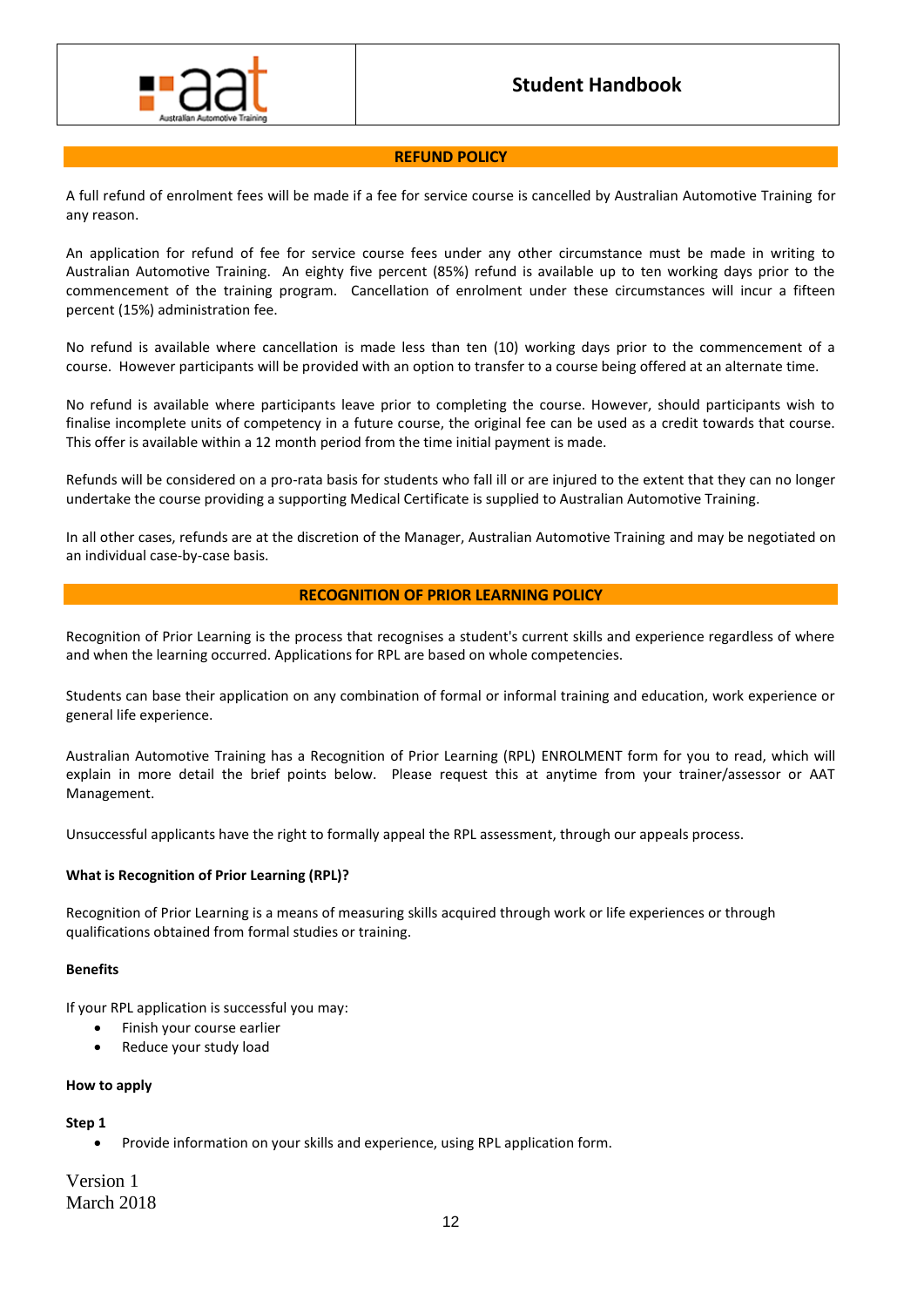

## **Student Handbook**

### **REFUND POLICY**

<span id="page-11-0"></span>A full refund of enrolment fees will be made if a fee for service course is cancelled by Australian Automotive Training for any reason.

An application for refund of fee for service course fees under any other circumstance must be made in writing to Australian Automotive Training. An eighty five percent (85%) refund is available up to ten working days prior to the commencement of the training program. Cancellation of enrolment under these circumstances will incur a fifteen percent (15%) administration fee.

No refund is available where cancellation is made less than ten (10) working days prior to the commencement of a course. However participants will be provided with an option to transfer to a course being offered at an alternate time.

No refund is available where participants leave prior to completing the course. However, should participants wish to finalise incomplete units of competency in a future course, the original fee can be used as a credit towards that course. This offer is available within a 12 month period from the time initial payment is made.

Refunds will be considered on a pro-rata basis for students who fall ill or are injured to the extent that they can no longer undertake the course providing a supporting Medical Certificate is supplied to Australian Automotive Training.

In all other cases, refunds are at the discretion of the Manager, Australian Automotive Training and may be negotiated on an individual case-by-case basis.

### **RECOGNITION OF PRIOR LEARNING POLICY**

<span id="page-11-1"></span>Recognition of Prior Learning is the process that recognises a student's current skills and experience regardless of where and when the learning occurred. Applications for RPL are based on whole competencies.

Students can base their application on any combination of formal or informal training and education, work experience or general life experience.

Australian Automotive Training has a Recognition of Prior Learning (RPL) ENROLMENT form for you to read, which will explain in more detail the brief points below. Please request this at anytime from your trainer/assessor or AAT Management.

Unsuccessful applicants have the right to formally appeal the RPL assessment, through our appeals process.

### **What is Recognition of Prior Learning (RPL)?**

Recognition of Prior Learning is a means of measuring skills acquired through work or life experiences or through qualifications obtained from formal studies or training.

### **Benefits**

If your RPL application is successful you may:

- Finish your course earlier
- Reduce your study load

### **How to apply**

**Step 1**

• Provide information on your skills and experience, using RPL application form.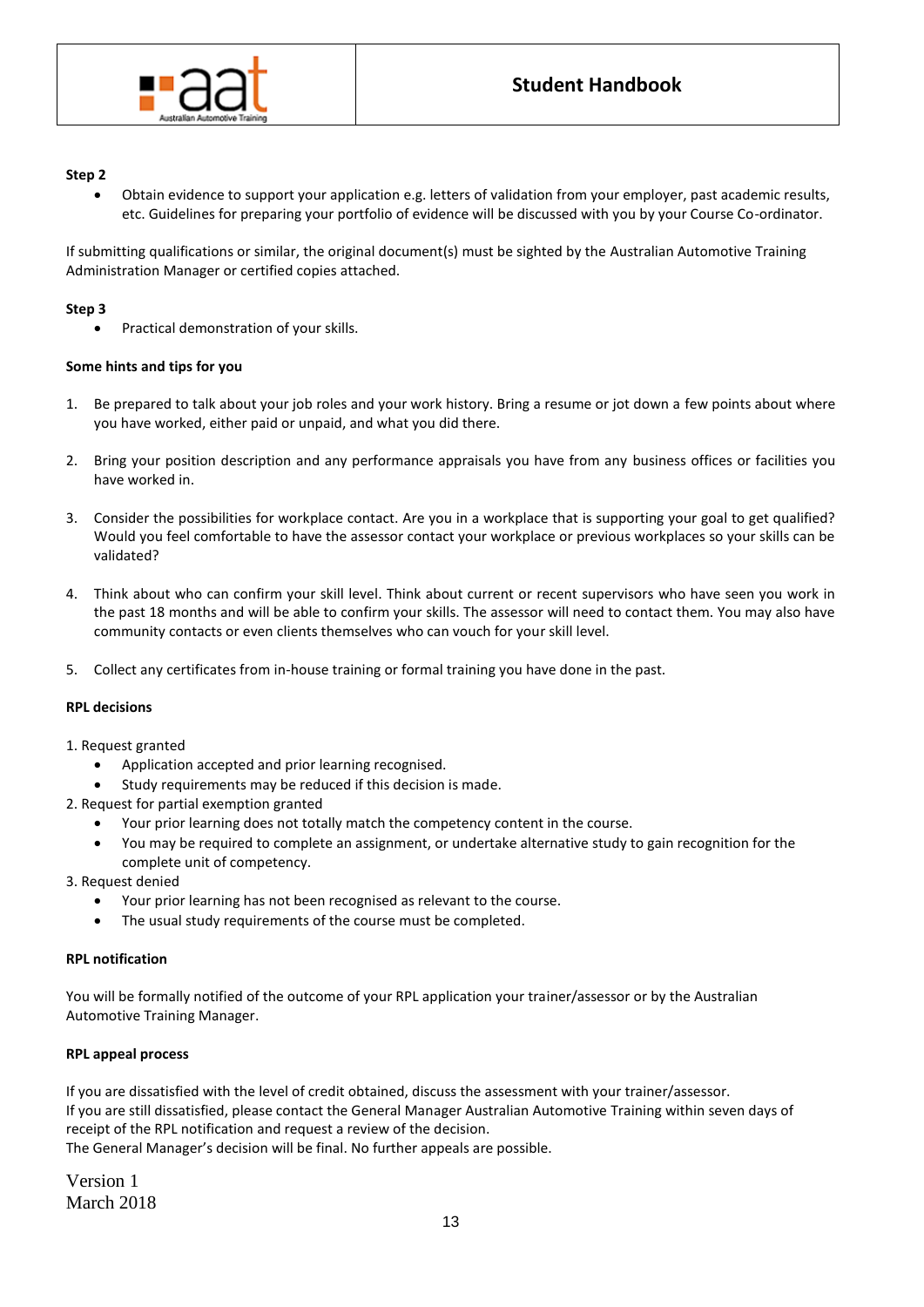

### **Step 2**

• Obtain evidence to support your application e.g. letters of validation from your employer, past academic results, etc. Guidelines for preparing your portfolio of evidence will be discussed with you by your Course Co-ordinator.

If submitting qualifications or similar, the original document(s) must be sighted by the Australian Automotive Training Administration Manager or certified copies attached.

### **Step 3**

• Practical demonstration of your skills.

### **Some hints and tips for you**

- 1. Be prepared to talk about your job roles and your work history. Bring a resume or jot down a few points about where you have worked, either paid or unpaid, and what you did there.
- 2. Bring your position description and any performance appraisals you have from any business offices or facilities you have worked in.
- 3. Consider the possibilities for workplace contact. Are you in a workplace that is supporting your goal to get qualified? Would you feel comfortable to have the assessor contact your workplace or previous workplaces so your skills can be validated?
- 4. Think about who can confirm your skill level. Think about current or recent supervisors who have seen you work in the past 18 months and will be able to confirm your skills. The assessor will need to contact them. You may also have community contacts or even clients themselves who can vouch for your skill level.
- 5. Collect any certificates from in-house training or formal training you have done in the past.

### **RPL decisions**

### 1. Request granted

- Application accepted and prior learning recognised.
- Study requirements may be reduced if this decision is made.
- 2. Request for partial exemption granted
	- Your prior learning does not totally match the competency content in the course.
	- You may be required to complete an assignment, or undertake alternative study to gain recognition for the complete unit of competency.
- 3. Request denied
	- Your prior learning has not been recognised as relevant to the course.
	- The usual study requirements of the course must be completed.

### **RPL notification**

You will be formally notified of the outcome of your RPL application your trainer/assessor or by the Australian Automotive Training Manager.

### **RPL appeal process**

If you are dissatisfied with the level of credit obtained, discuss the assessment with your trainer/assessor. If you are still dissatisfied, please contact the General Manager Australian Automotive Training within seven days of receipt of the RPL notification and request a review of the decision. The General Manager's decision will be final. No further appeals are possible.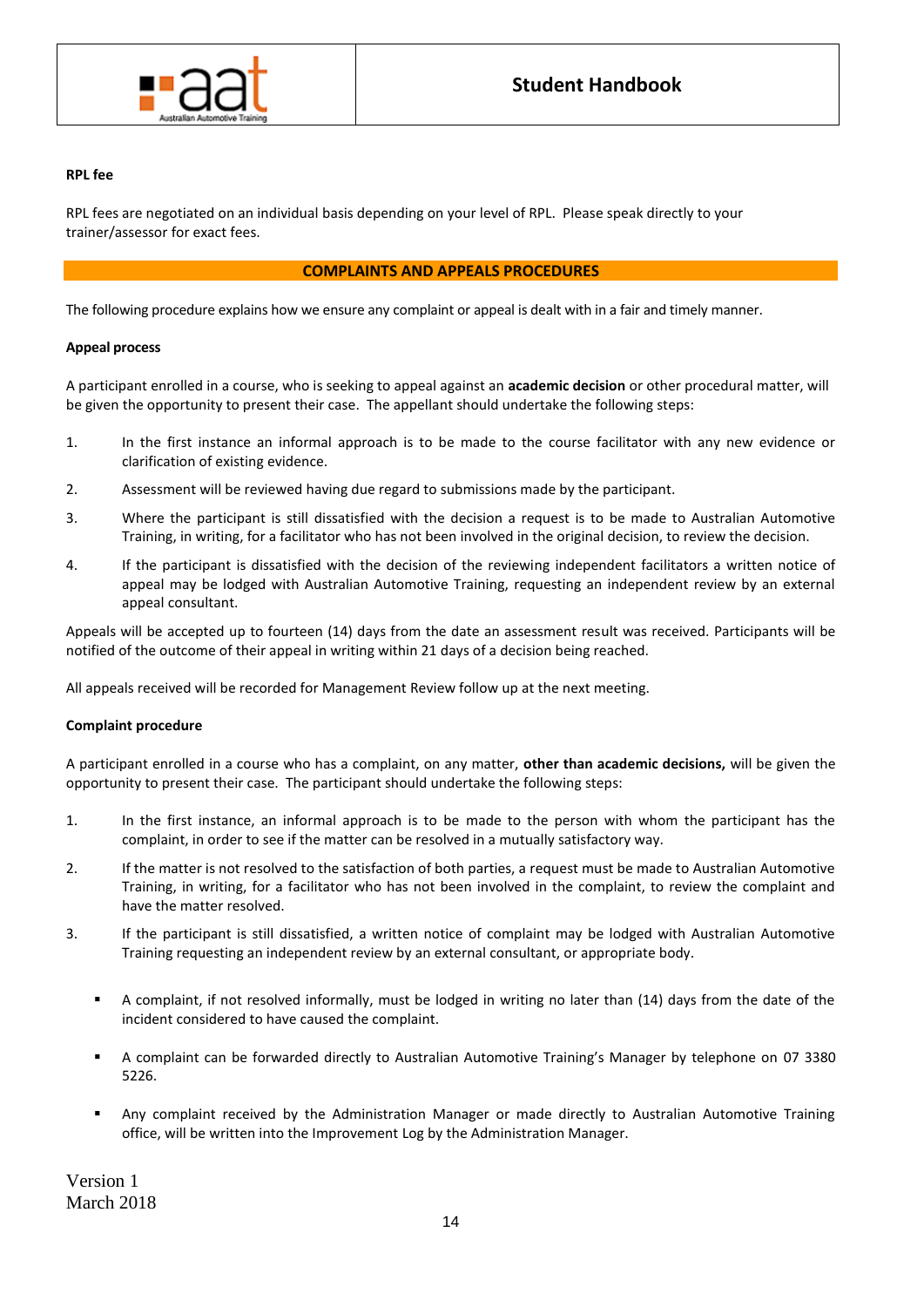

### **RPL fee**

RPL fees are negotiated on an individual basis depending on your level of RPL. Please speak directly to your trainer/assessor for exact fees.

### **COMPLAINTS AND APPEALS PROCEDURES**

<span id="page-13-0"></span>The following procedure explains how we ensure any complaint or appeal is dealt with in a fair and timely manner.

### **Appeal process**

A participant enrolled in a course, who is seeking to appeal against an **academic decision** or other procedural matter, will be given the opportunity to present their case. The appellant should undertake the following steps:

- 1. In the first instance an informal approach is to be made to the course facilitator with any new evidence or clarification of existing evidence.
- 2. Assessment will be reviewed having due regard to submissions made by the participant.
- 3. Where the participant is still dissatisfied with the decision a request is to be made to Australian Automotive Training, in writing, for a facilitator who has not been involved in the original decision, to review the decision.
- 4. If the participant is dissatisfied with the decision of the reviewing independent facilitators a written notice of appeal may be lodged with Australian Automotive Training, requesting an independent review by an external appeal consultant.

Appeals will be accepted up to fourteen (14) days from the date an assessment result was received. Participants will be notified of the outcome of their appeal in writing within 21 days of a decision being reached.

All appeals received will be recorded for Management Review follow up at the next meeting.

### **Complaint procedure**

A participant enrolled in a course who has a complaint, on any matter, **other than academic decisions,** will be given the opportunity to present their case. The participant should undertake the following steps:

- 1. In the first instance, an informal approach is to be made to the person with whom the participant has the complaint, in order to see if the matter can be resolved in a mutually satisfactory way.
- 2. If the matter is not resolved to the satisfaction of both parties, a request must be made to Australian Automotive Training, in writing, for a facilitator who has not been involved in the complaint, to review the complaint and have the matter resolved.
- 3. If the participant is still dissatisfied, a written notice of complaint may be lodged with Australian Automotive Training requesting an independent review by an external consultant, or appropriate body.
	- A complaint, if not resolved informally, must be lodged in writing no later than (14) days from the date of the incident considered to have caused the complaint.
	- A complaint can be forwarded directly to Australian Automotive Training's Manager by telephone on 07 3380 5226.
	- Any complaint received by the Administration Manager or made directly to Australian Automotive Training office, will be written into the Improvement Log by the Administration Manager.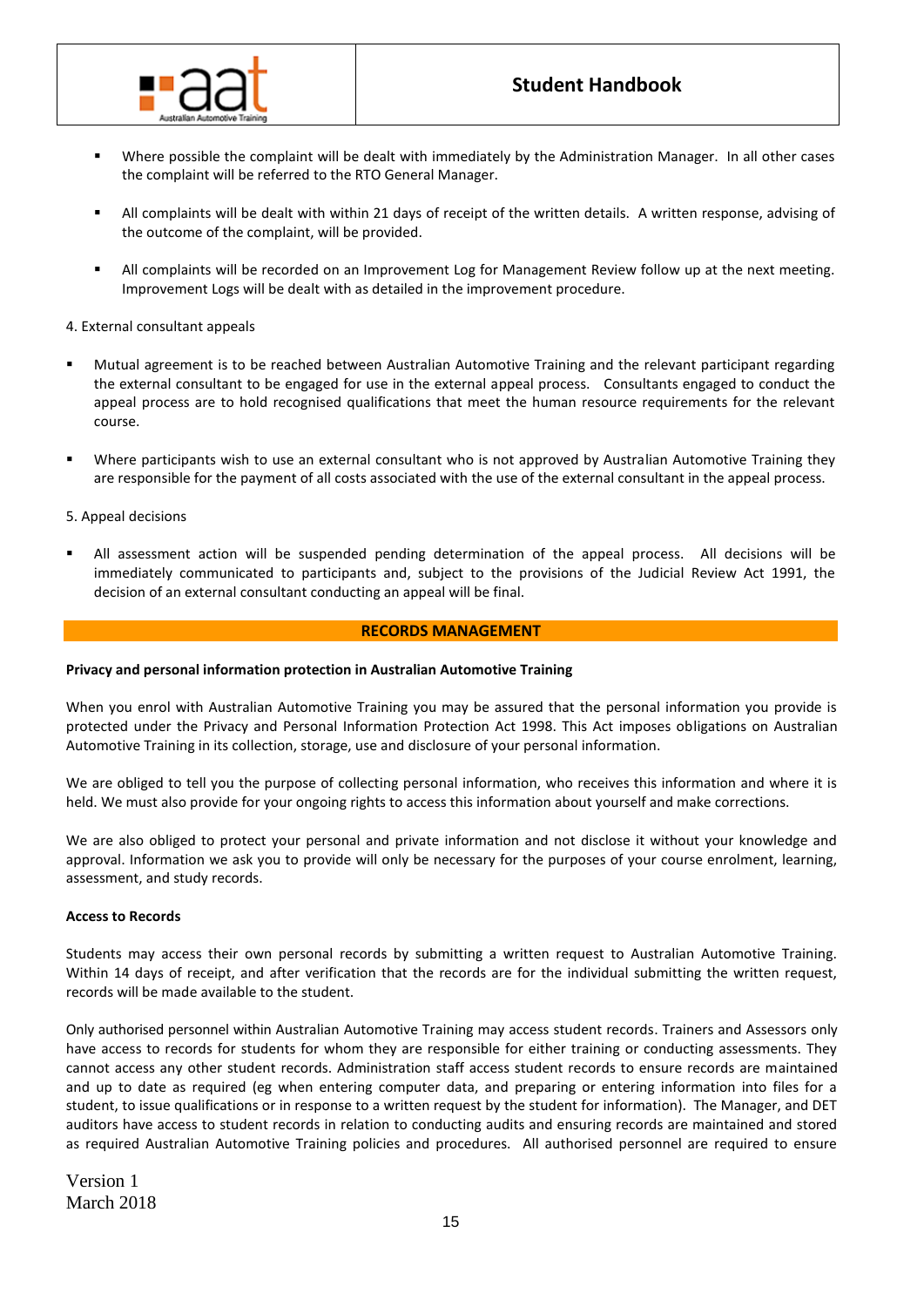

- Where possible the complaint will be dealt with immediately by the Administration Manager. In all other cases the complaint will be referred to the RTO General Manager.
- All complaints will be dealt with within 21 days of receipt of the written details. A written response, advising of the outcome of the complaint, will be provided.
- All complaints will be recorded on an Improvement Log for Management Review follow up at the next meeting. Improvement Logs will be dealt with as detailed in the improvement procedure.

4. External consultant appeals

- Mutual agreement is to be reached between Australian Automotive Training and the relevant participant regarding the external consultant to be engaged for use in the external appeal process. Consultants engaged to conduct the appeal process are to hold recognised qualifications that meet the human resource requirements for the relevant course.
- Where participants wish to use an external consultant who is not approved by Australian Automotive Training they are responsible for the payment of all costs associated with the use of the external consultant in the appeal process.

5. Appeal decisions

All assessment action will be suspended pending determination of the appeal process. All decisions will be immediately communicated to participants and, subject to the provisions of the Judicial Review Act 1991, the decision of an external consultant conducting an appeal will be final.

### **RECORDS MANAGEMENT**

### **Privacy and personal information protection in Australian Automotive Training**

When you enrol with Australian Automotive Training you may be assured that the personal information you provide is protected under the Privacy and Personal Information Protection Act 1998. This Act imposes obligations on Australian Automotive Training in its collection, storage, use and disclosure of your personal information.

We are obliged to tell you the purpose of collecting personal information, who receives this information and where it is held. We must also provide for your ongoing rights to access this information about yourself and make corrections.

We are also obliged to protect your personal and private information and not disclose it without your knowledge and approval. Information we ask you to provide will only be necessary for the purposes of your course enrolment, learning, assessment, and study records.

### **Access to Records**

Students may access their own personal records by submitting a written request to Australian Automotive Training. Within 14 days of receipt, and after verification that the records are for the individual submitting the written request, records will be made available to the student.

Only authorised personnel within Australian Automotive Training may access student records. Trainers and Assessors only have access to records for students for whom they are responsible for either training or conducting assessments. They cannot access any other student records. Administration staff access student records to ensure records are maintained and up to date as required (eg when entering computer data, and preparing or entering information into files for a student, to issue qualifications or in response to a written request by the student for information). The Manager, and DET auditors have access to student records in relation to conducting audits and ensuring records are maintained and stored as required Australian Automotive Training policies and procedures. All authorised personnel are required to ensure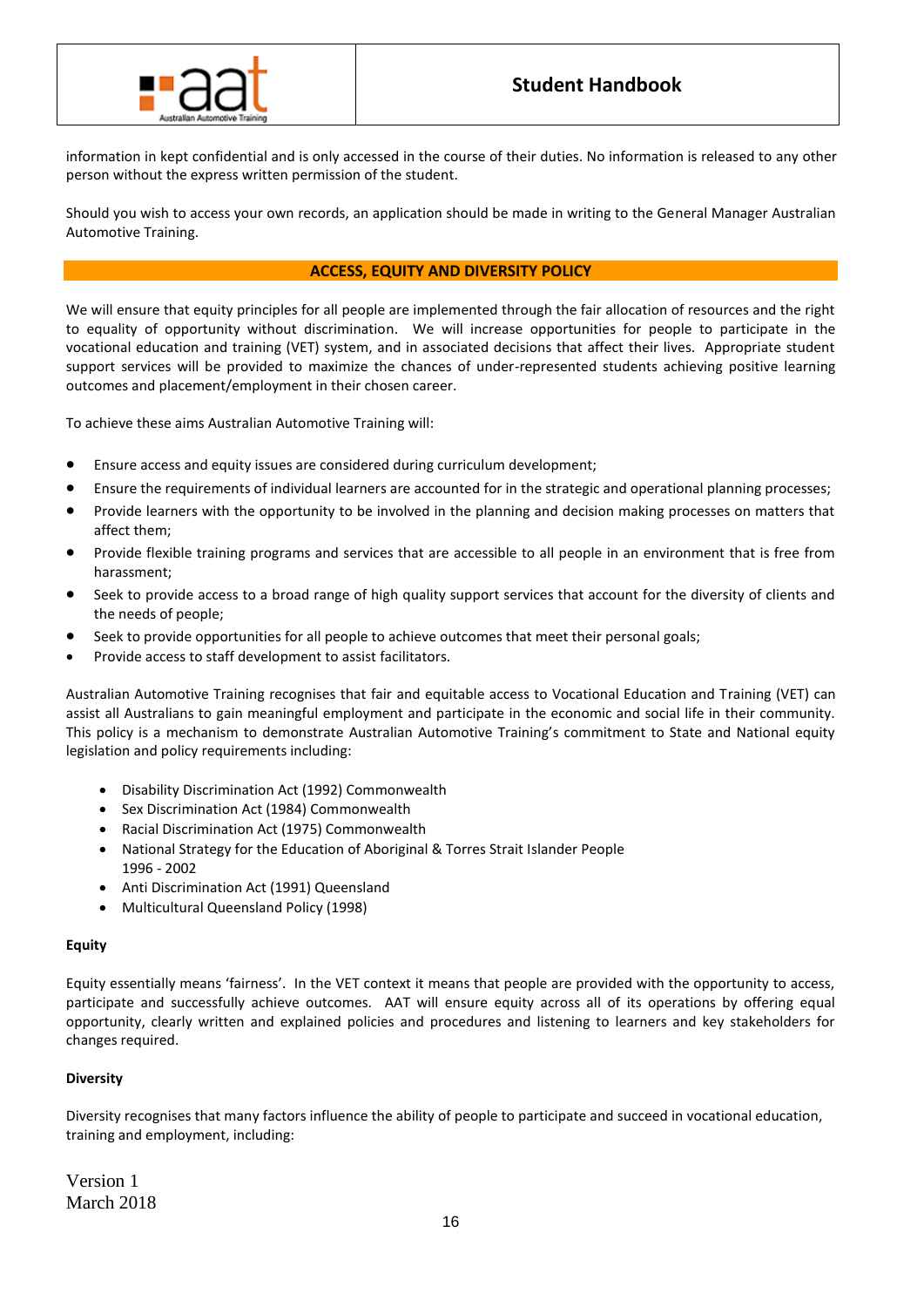

information in kept confidential and is only accessed in the course of their duties. No information is released to any other person without the express written permission of the student.

Should you wish to access your own records, an application should be made in writing to the General Manager Australian Automotive Training.

### **ACCESS, EQUITY AND DIVERSITY POLICY**

<span id="page-15-0"></span>We will ensure that equity principles for all people are implemented through the fair allocation of resources and the right to equality of opportunity without discrimination. We will increase opportunities for people to participate in the vocational education and training (VET) system, and in associated decisions that affect their lives. Appropriate student support services will be provided to maximize the chances of under-represented students achieving positive learning outcomes and placement/employment in their chosen career.

To achieve these aims Australian Automotive Training will:

- Ensure access and equity issues are considered during curriculum development;
- Ensure the requirements of individual learners are accounted for in the strategic and operational planning processes;
- Provide learners with the opportunity to be involved in the planning and decision making processes on matters that affect them;
- Provide flexible training programs and services that are accessible to all people in an environment that is free from harassment;
- Seek to provide access to a broad range of high quality support services that account for the diversity of clients and the needs of people;
- Seek to provide opportunities for all people to achieve outcomes that meet their personal goals;
- Provide access to staff development to assist facilitators.

Australian Automotive Training recognises that fair and equitable access to Vocational Education and Training (VET) can assist all Australians to gain meaningful employment and participate in the economic and social life in their community. This policy is a mechanism to demonstrate Australian Automotive Training's commitment to State and National equity legislation and policy requirements including:

- Disability Discrimination Act (1992) Commonwealth
- Sex Discrimination Act (1984) Commonwealth
- Racial Discrimination Act (1975) Commonwealth
- National Strategy for the Education of Aboriginal & Torres Strait Islander People 1996 - 2002
- Anti Discrimination Act (1991) Queensland
- Multicultural Queensland Policy (1998)

### **Equity**

Equity essentially means 'fairness'. In the VET context it means that people are provided with the opportunity to access, participate and successfully achieve outcomes. AAT will ensure equity across all of its operations by offering equal opportunity, clearly written and explained policies and procedures and listening to learners and key stakeholders for changes required.

### **Diversity**

Diversity recognises that many factors influence the ability of people to participate and succeed in vocational education, training and employment, including: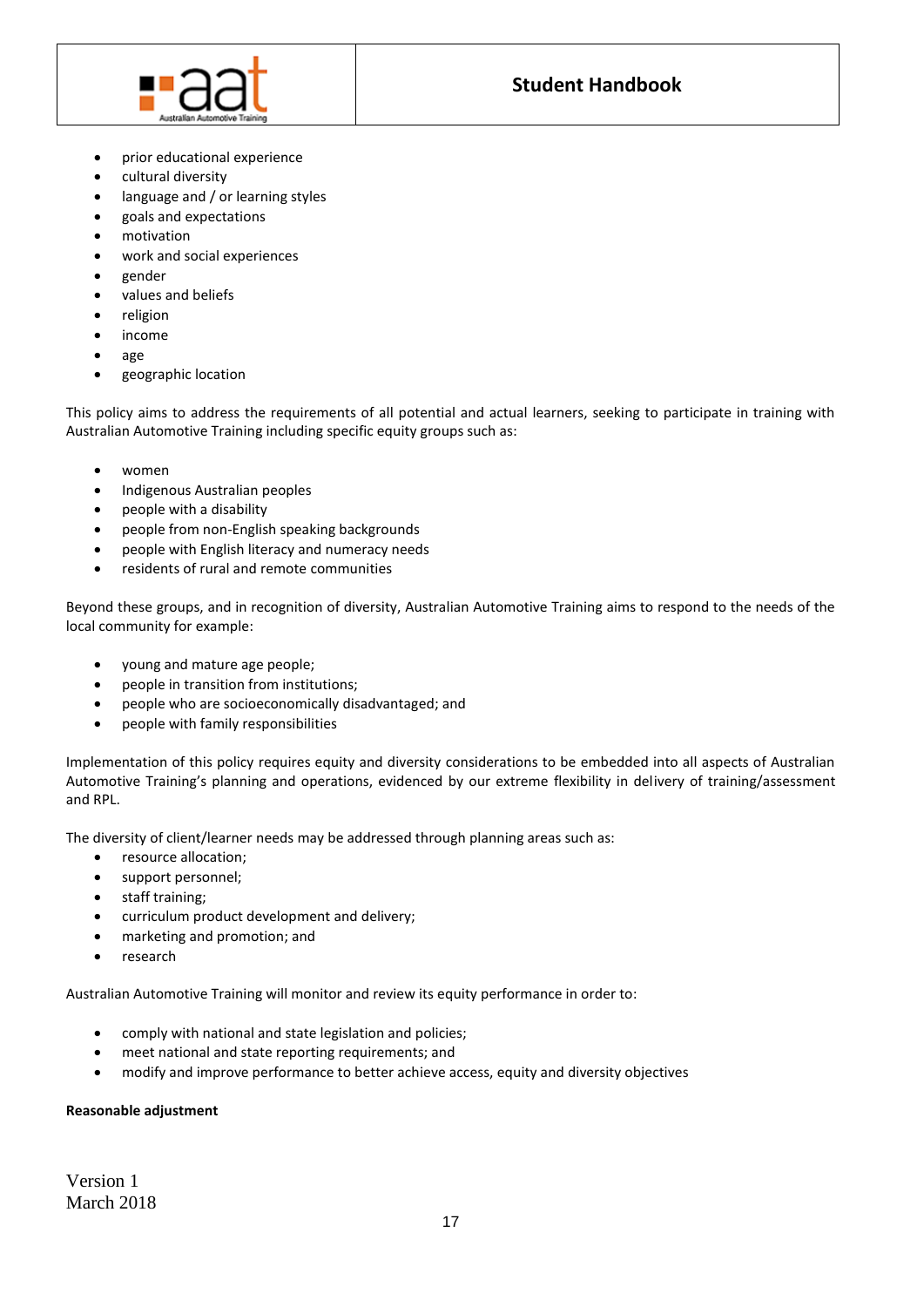

- prior educational experience
- cultural diversity
- language and / or learning styles
- goals and expectations
- motivation
- work and social experiences
- gender
- values and beliefs
- religion
- income
- age
- geographic location

This policy aims to address the requirements of all potential and actual learners, seeking to participate in training with Australian Automotive Training including specific equity groups such as:

- women
- Indigenous Australian peoples
- people with a disability
- people from non-English speaking backgrounds
- people with English literacy and numeracy needs
- residents of rural and remote communities

Beyond these groups, and in recognition of diversity, Australian Automotive Training aims to respond to the needs of the local community for example:

- young and mature age people;
- people in transition from institutions;
- people who are socioeconomically disadvantaged; and
- people with family responsibilities

Implementation of this policy requires equity and diversity considerations to be embedded into all aspects of Australian Automotive Training's planning and operations, evidenced by our extreme flexibility in delivery of training/assessment and RPL.

The diversity of client/learner needs may be addressed through planning areas such as:

- resource allocation;
- support personnel;
- staff training;
- curriculum product development and delivery;
- marketing and promotion; and
- research

Australian Automotive Training will monitor and review its equity performance in order to:

- comply with national and state legislation and policies;
- meet national and state reporting requirements; and
- modify and improve performance to better achieve access, equity and diversity objectives

### **Reasonable adjustment**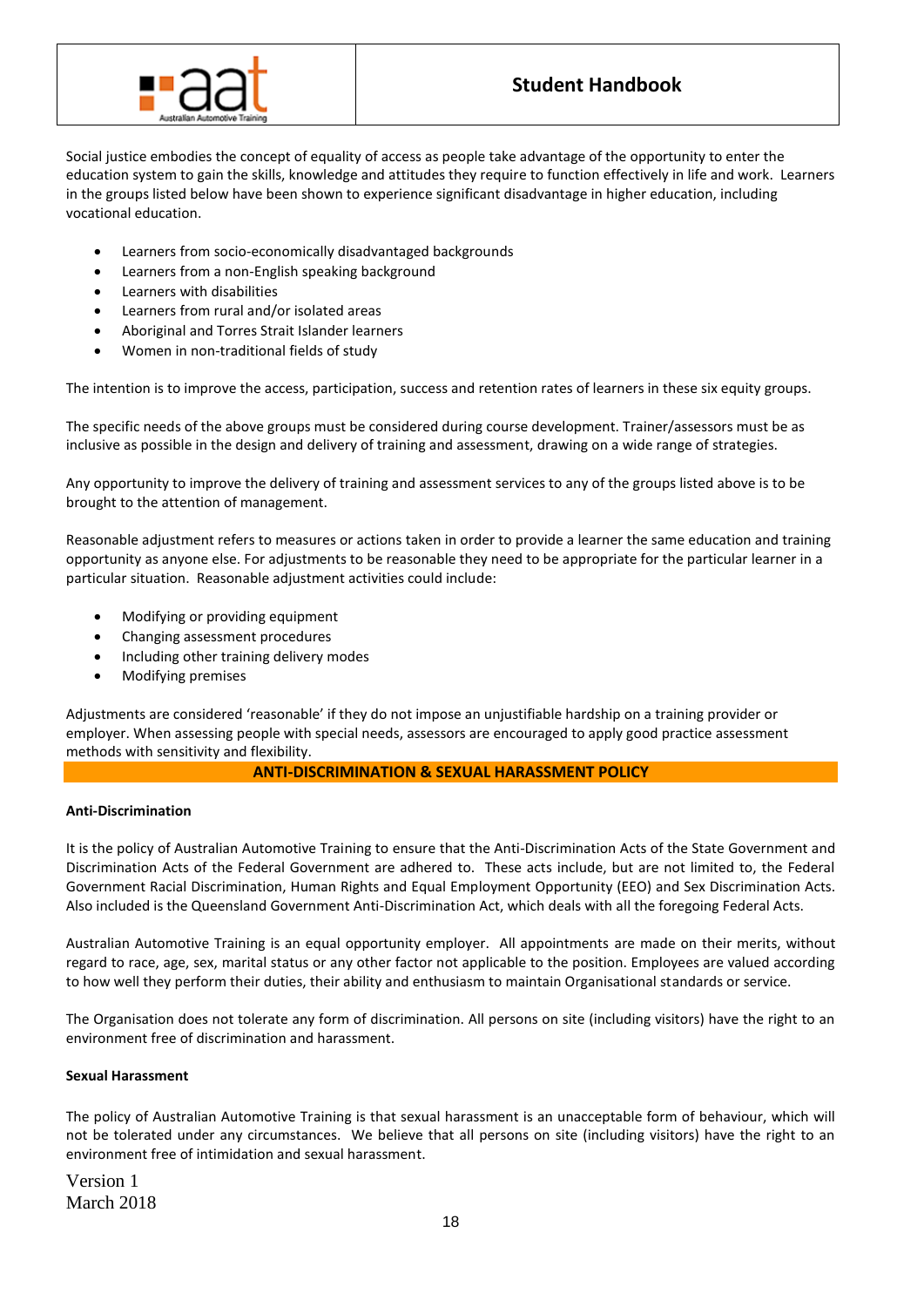

# **Student Handbook**

Social justice embodies the concept of equality of access as people take advantage of the opportunity to enter the education system to gain the skills, knowledge and attitudes they require to function effectively in life and work. Learners in the groups listed below have been shown to experience significant disadvantage in higher education, including vocational education.

- Learners from socio-economically disadvantaged backgrounds
- Learners from a non-English speaking background
- Learners with disabilities
- Learners from rural and/or isolated areas
- Aboriginal and Torres Strait Islander learners
- Women in non-traditional fields of study

The intention is to improve the access, participation, success and retention rates of learners in these six equity groups.

The specific needs of the above groups must be considered during course development. Trainer/assessors must be as inclusive as possible in the design and delivery of training and assessment, drawing on a wide range of strategies.

Any opportunity to improve the delivery of training and assessment services to any of the groups listed above is to be brought to the attention of management.

Reasonable adjustment refers to measures or actions taken in order to provide a learner the same education and training opportunity as anyone else. For adjustments to be reasonable they need to be appropriate for the particular learner in a particular situation. Reasonable adjustment activities could include:

- Modifying or providing equipment
- Changing assessment procedures
- Including other training delivery modes
- Modifying premises

Adjustments are considered 'reasonable' if they do not impose an unjustifiable hardship on a training provider or employer. When assessing people with special needs, assessors are encouraged to apply good practice assessment methods with sensitivity and flexibility.

### **ANTI-DISCRIMINATION & SEXUAL HARASSMENT POLICY**

### <span id="page-17-0"></span>**Anti-Discrimination**

It is the policy of Australian Automotive Training to ensure that the Anti-Discrimination Acts of the State Government and Discrimination Acts of the Federal Government are adhered to. These acts include, but are not limited to, the Federal Government Racial Discrimination, Human Rights and Equal Employment Opportunity (EEO) and Sex Discrimination Acts. Also included is the Queensland Government Anti-Discrimination Act, which deals with all the foregoing Federal Acts.

Australian Automotive Training is an equal opportunity employer. All appointments are made on their merits, without regard to race, age, sex, marital status or any other factor not applicable to the position. Employees are valued according to how well they perform their duties, their ability and enthusiasm to maintain Organisational standards or service.

The Organisation does not tolerate any form of discrimination. All persons on site (including visitors) have the right to an environment free of discrimination and harassment.

### **Sexual Harassment**

The policy of Australian Automotive Training is that sexual harassment is an unacceptable form of behaviour, which will not be tolerated under any circumstances. We believe that all persons on site (including visitors) have the right to an environment free of intimidation and sexual harassment.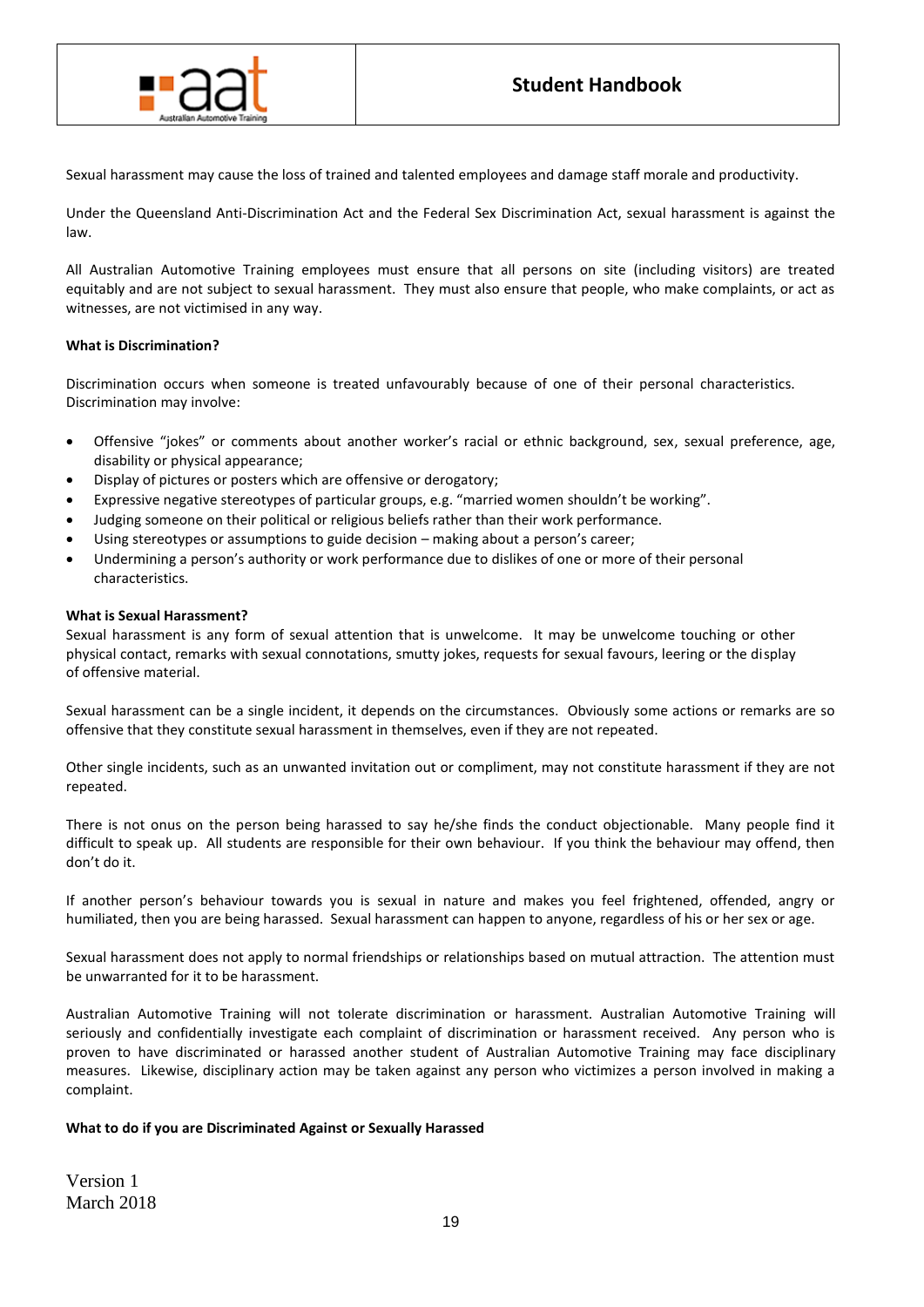

Sexual harassment may cause the loss of trained and talented employees and damage staff morale and productivity.

Under the Queensland Anti-Discrimination Act and the Federal Sex Discrimination Act, sexual harassment is against the law.

All Australian Automotive Training employees must ensure that all persons on site (including visitors) are treated equitably and are not subject to sexual harassment. They must also ensure that people, who make complaints, or act as witnesses, are not victimised in any way.

### **What is Discrimination?**

Discrimination occurs when someone is treated unfavourably because of one of their personal characteristics. Discrimination may involve:

- Offensive "jokes" or comments about another worker's racial or ethnic background, sex, sexual preference, age, disability or physical appearance;
- Display of pictures or posters which are offensive or derogatory;
- Expressive negative stereotypes of particular groups, e.g. "married women shouldn't be working".
- Judging someone on their political or religious beliefs rather than their work performance.
- Using stereotypes or assumptions to guide decision making about a person's career;
- Undermining a person's authority or work performance due to dislikes of one or more of their personal characteristics.

### **What is Sexual Harassment?**

Sexual harassment is any form of sexual attention that is unwelcome. It may be unwelcome touching or other physical contact, remarks with sexual connotations, smutty jokes, requests for sexual favours, leering or the display of offensive material.

Sexual harassment can be a single incident, it depends on the circumstances. Obviously some actions or remarks are so offensive that they constitute sexual harassment in themselves, even if they are not repeated.

Other single incidents, such as an unwanted invitation out or compliment, may not constitute harassment if they are not repeated.

There is not onus on the person being harassed to say he/she finds the conduct objectionable. Many people find it difficult to speak up. All students are responsible for their own behaviour. If you think the behaviour may offend, then don't do it.

If another person's behaviour towards you is sexual in nature and makes you feel frightened, offended, angry or humiliated, then you are being harassed. Sexual harassment can happen to anyone, regardless of his or her sex or age.

Sexual harassment does not apply to normal friendships or relationships based on mutual attraction. The attention must be unwarranted for it to be harassment.

Australian Automotive Training will not tolerate discrimination or harassment. Australian Automotive Training will seriously and confidentially investigate each complaint of discrimination or harassment received. Any person who is proven to have discriminated or harassed another student of Australian Automotive Training may face disciplinary measures. Likewise, disciplinary action may be taken against any person who victimizes a person involved in making a complaint.

### **What to do if you are Discriminated Against or Sexually Harassed**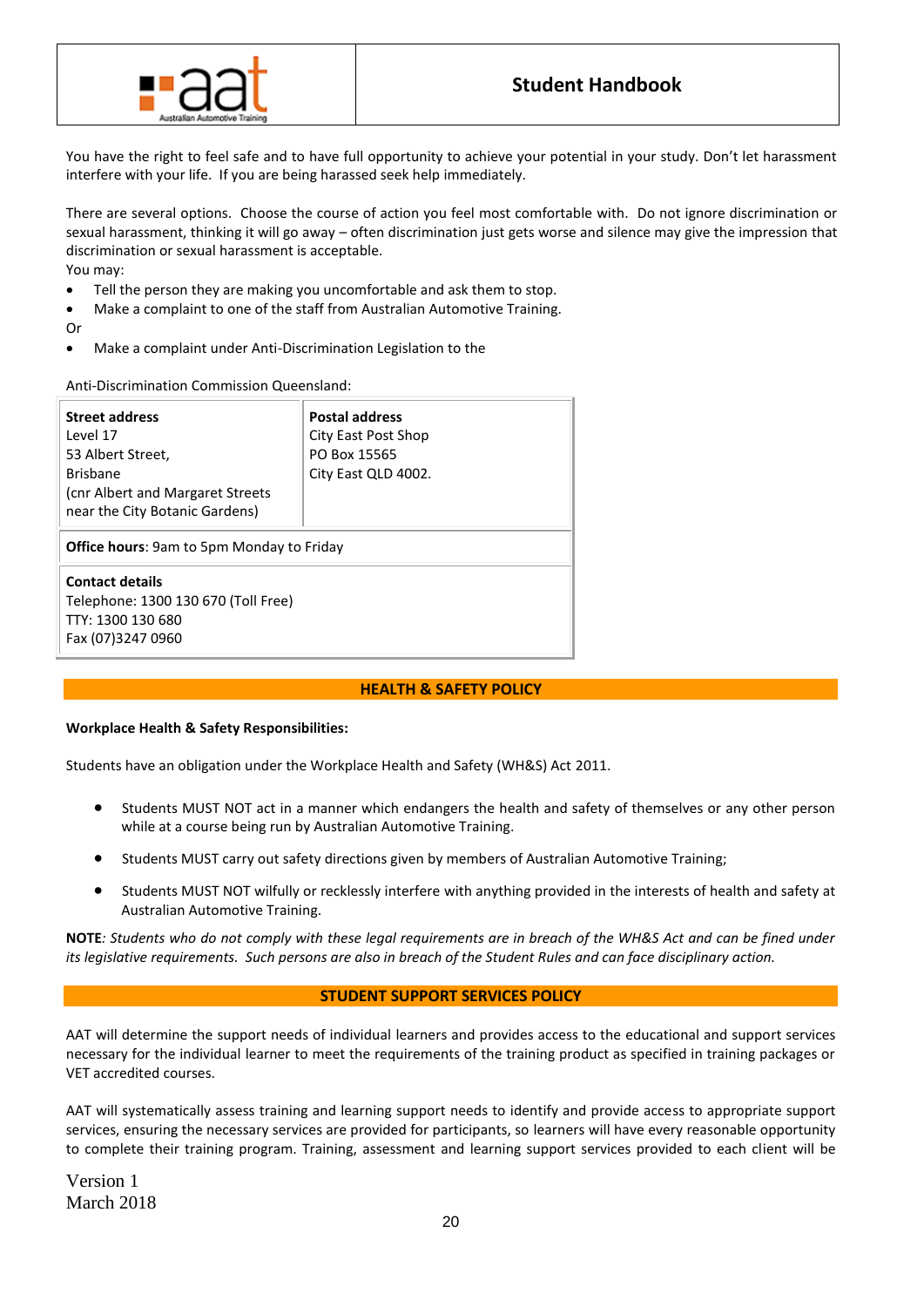

You have the right to feel safe and to have full opportunity to achieve your potential in your study. Don't let harassment interfere with your life. If you are being harassed seek help immediately.

There are several options. Choose the course of action you feel most comfortable with. Do not ignore discrimination or sexual harassment, thinking it will go away – often discrimination just gets worse and silence may give the impression that discrimination or sexual harassment is acceptable. You may:

- Tell the person they are making you uncomfortable and ask them to stop.
- Make a complaint to one of the staff from Australian Automotive Training.
- Or
- Make a complaint under Anti-Discrimination Legislation to the

Anti-Discrimination Commission Queensland:

| <b>Street address</b><br>Level 17<br>53 Albert Street,<br><b>Brisbane</b><br>(cnr Albert and Margaret Streets)<br>near the City Botanic Gardens) | <b>Postal address</b><br>City East Post Shop<br>PO Box 15565<br>City East QLD 4002. |
|--------------------------------------------------------------------------------------------------------------------------------------------------|-------------------------------------------------------------------------------------|
| <b>Office hours:</b> 9am to 5pm Monday to Friday<br><b>Contact details</b><br>Telephone: 1300 130 670 (Toll Free)<br>TTY: 1300 130 680           |                                                                                     |
| Fax (07)3247 0960                                                                                                                                |                                                                                     |

### **HEALTH & SAFETY POLICY**

### <span id="page-19-0"></span>**Workplace Health & Safety Responsibilities:**

Students have an obligation under the Workplace Health and Safety (WH&S) Act 2011.

- Students MUST NOT act in a manner which endangers the health and safety of themselves or any other person while at a course being run by Australian Automotive Training.
- Students MUST carry out safety directions given by members of Australian Automotive Training;
- Students MUST NOT wilfully or recklessly interfere with anything provided in the interests of health and safety at Australian Automotive Training.

**NOTE***: Students who do not comply with these legal requirements are in breach of the WH&S Act and can be fined under its legislative requirements. Such persons are also in breach of the Student Rules and can face disciplinary action.*

### **STUDENT SUPPORT SERVICES POLICY**

<span id="page-19-1"></span>AAT will determine the support needs of individual learners and provides access to the educational and support services necessary for the individual learner to meet the requirements of the training product as specified in training packages or VET accredited courses.

AAT will systematically assess training and learning support needs to identify and provide access to appropriate support services, ensuring the necessary services are provided for participants, so learners will have every reasonable opportunity to complete their training program. Training, assessment and learning support services provided to each client will be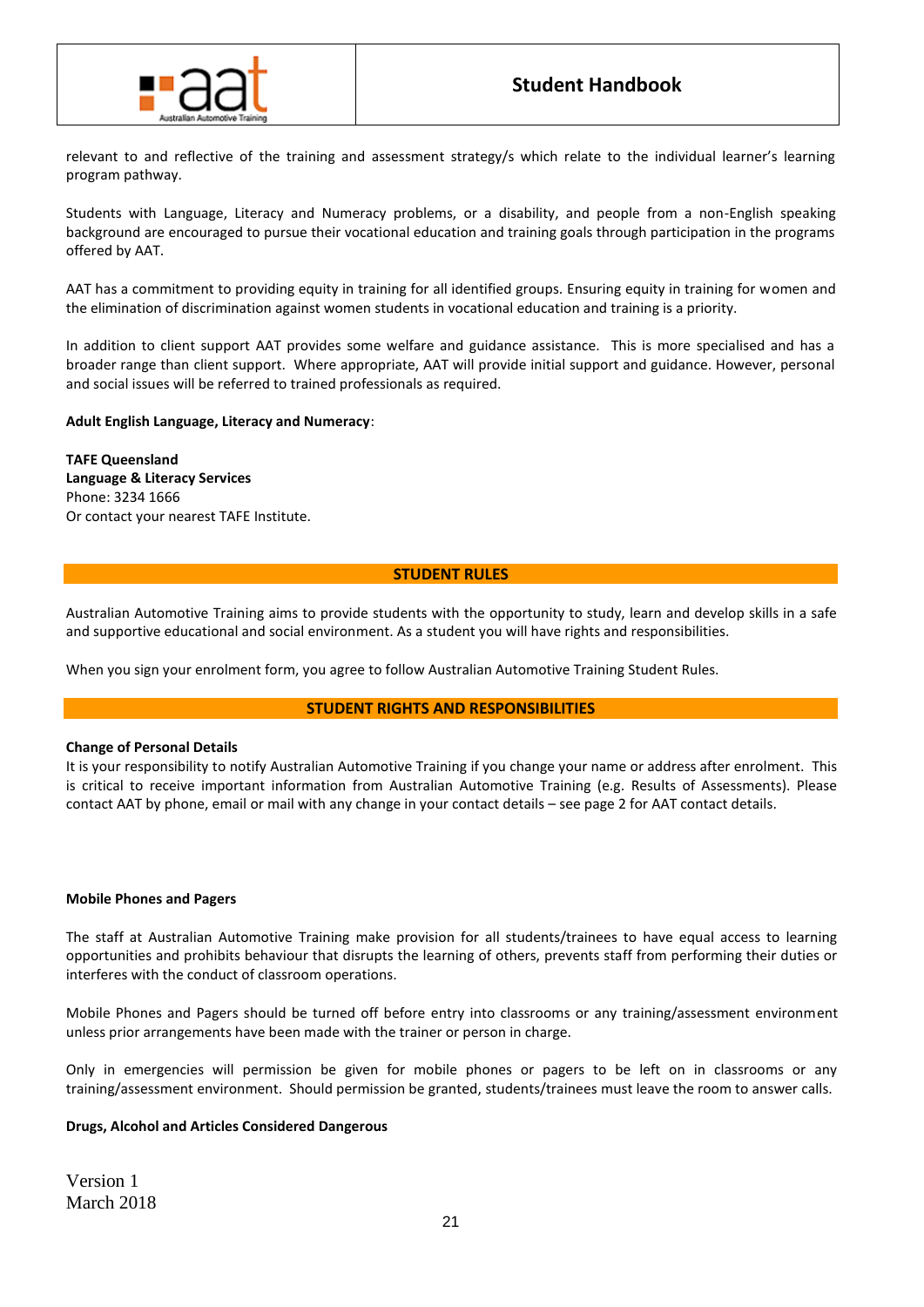

relevant to and reflective of the training and assessment strategy/s which relate to the individual learner's learning program pathway.

Students with Language, Literacy and Numeracy problems, or a disability, and people from a non-English speaking background are encouraged to pursue their vocational education and training goals through participation in the programs offered by AAT.

AAT has a commitment to providing equity in training for all identified groups. Ensuring equity in training for women and the elimination of discrimination against women students in vocational education and training is a priority.

In addition to client support AAT provides some welfare and guidance assistance. This is more specialised and has a broader range than client support. Where appropriate, AAT will provide initial support and guidance. However, personal and social issues will be referred to trained professionals as required.

### **Adult English Language, Literacy and Numeracy**:

**TAFE Queensland Language & Literacy Services** Phone: 3234 1666 Or contact your nearest TAFE Institute.

### **STUDENT RULES**

<span id="page-20-0"></span>Australian Automotive Training aims to provide students with the opportunity to study, learn and develop skills in a safe and supportive educational and social environment. As a student you will have rights and responsibilities.

<span id="page-20-1"></span>When you sign your enrolment form, you agree to follow Australian Automotive Training Student Rules.

### **STUDENT RIGHTS AND RESPONSIBILITIES**

### **Change of Personal Details**

It is your responsibility to notify Australian Automotive Training if you change your name or address after enrolment. This is critical to receive important information from Australian Automotive Training (e.g. Results of Assessments). Please contact AAT by phone, email or mail with any change in your contact details – see page 2 for AAT contact details.

### **Mobile Phones and Pagers**

The staff at Australian Automotive Training make provision for all students/trainees to have equal access to learning opportunities and prohibits behaviour that disrupts the learning of others, prevents staff from performing their duties or interferes with the conduct of classroom operations.

Mobile Phones and Pagers should be turned off before entry into classrooms or any training/assessment environment unless prior arrangements have been made with the trainer or person in charge.

Only in emergencies will permission be given for mobile phones or pagers to be left on in classrooms or any training/assessment environment. Should permission be granted, students/trainees must leave the room to answer calls.

### **Drugs, Alcohol and Articles Considered Dangerous**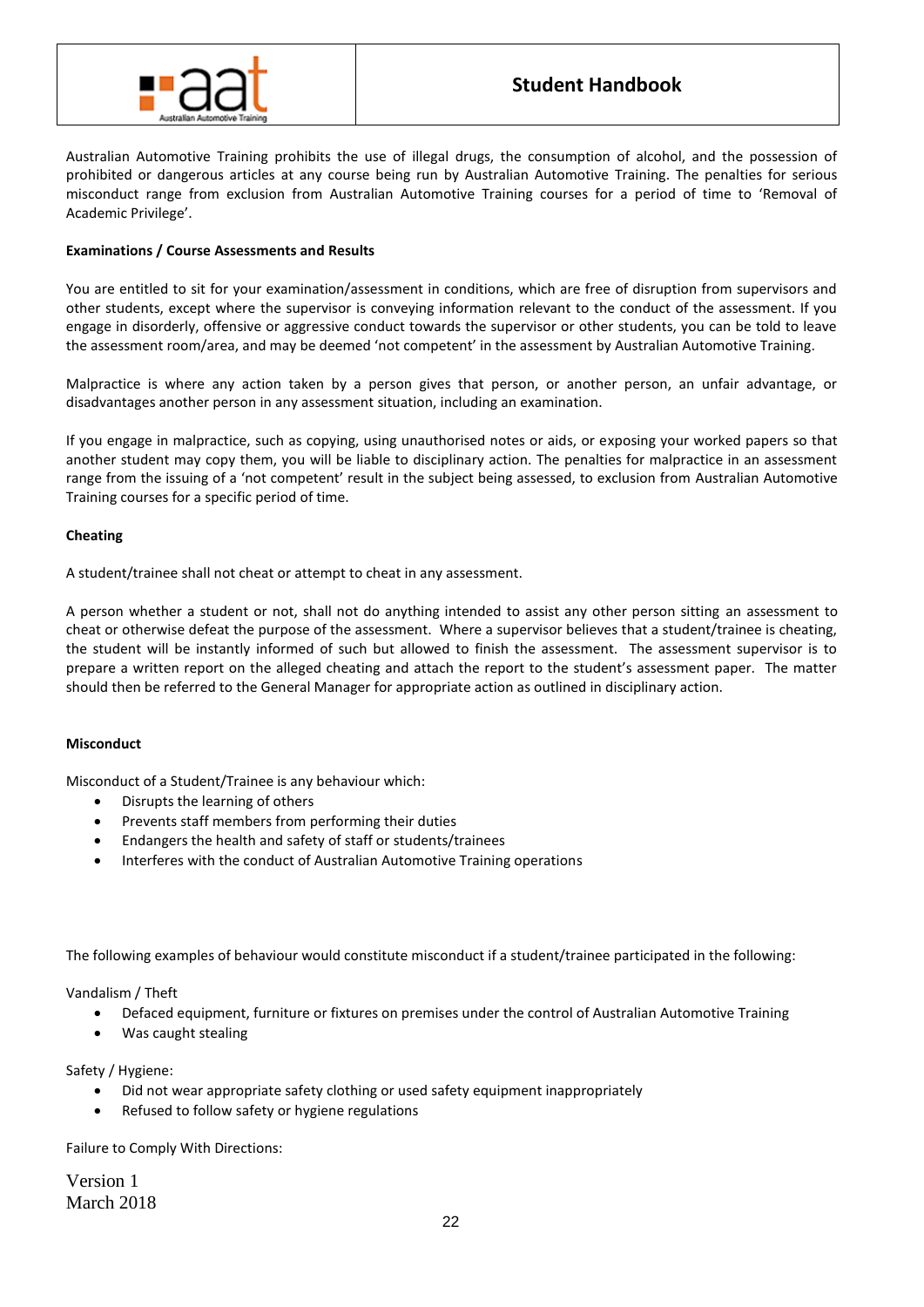

Australian Automotive Training prohibits the use of illegal drugs, the consumption of alcohol, and the possession of prohibited or dangerous articles at any course being run by Australian Automotive Training. The penalties for serious misconduct range from exclusion from Australian Automotive Training courses for a period of time to 'Removal of Academic Privilege'.

### **Examinations / Course Assessments and Results**

You are entitled to sit for your examination/assessment in conditions, which are free of disruption from supervisors and other students, except where the supervisor is conveying information relevant to the conduct of the assessment. If you engage in disorderly, offensive or aggressive conduct towards the supervisor or other students, you can be told to leave the assessment room/area, and may be deemed 'not competent' in the assessment by Australian Automotive Training.

Malpractice is where any action taken by a person gives that person, or another person, an unfair advantage, or disadvantages another person in any assessment situation, including an examination.

If you engage in malpractice, such as copying, using unauthorised notes or aids, or exposing your worked papers so that another student may copy them, you will be liable to disciplinary action. The penalties for malpractice in an assessment range from the issuing of a 'not competent' result in the subject being assessed, to exclusion from Australian Automotive Training courses for a specific period of time.

### **Cheating**

A student/trainee shall not cheat or attempt to cheat in any assessment.

A person whether a student or not, shall not do anything intended to assist any other person sitting an assessment to cheat or otherwise defeat the purpose of the assessment. Where a supervisor believes that a student/trainee is cheating, the student will be instantly informed of such but allowed to finish the assessment. The assessment supervisor is to prepare a written report on the alleged cheating and attach the report to the student's assessment paper. The matter should then be referred to the General Manager for appropriate action as outlined in disciplinary action.

### **Misconduct**

Misconduct of a Student/Trainee is any behaviour which:

- Disrupts the learning of others
- Prevents staff members from performing their duties
- Endangers the health and safety of staff or students/trainees
- Interferes with the conduct of Australian Automotive Training operations

The following examples of behaviour would constitute misconduct if a student/trainee participated in the following:

Vandalism / Theft

- Defaced equipment, furniture or fixtures on premises under the control of Australian Automotive Training
- Was caught stealing

Safety / Hygiene:

- Did not wear appropriate safety clothing or used safety equipment inappropriately
- Refused to follow safety or hygiene regulations

Failure to Comply With Directions: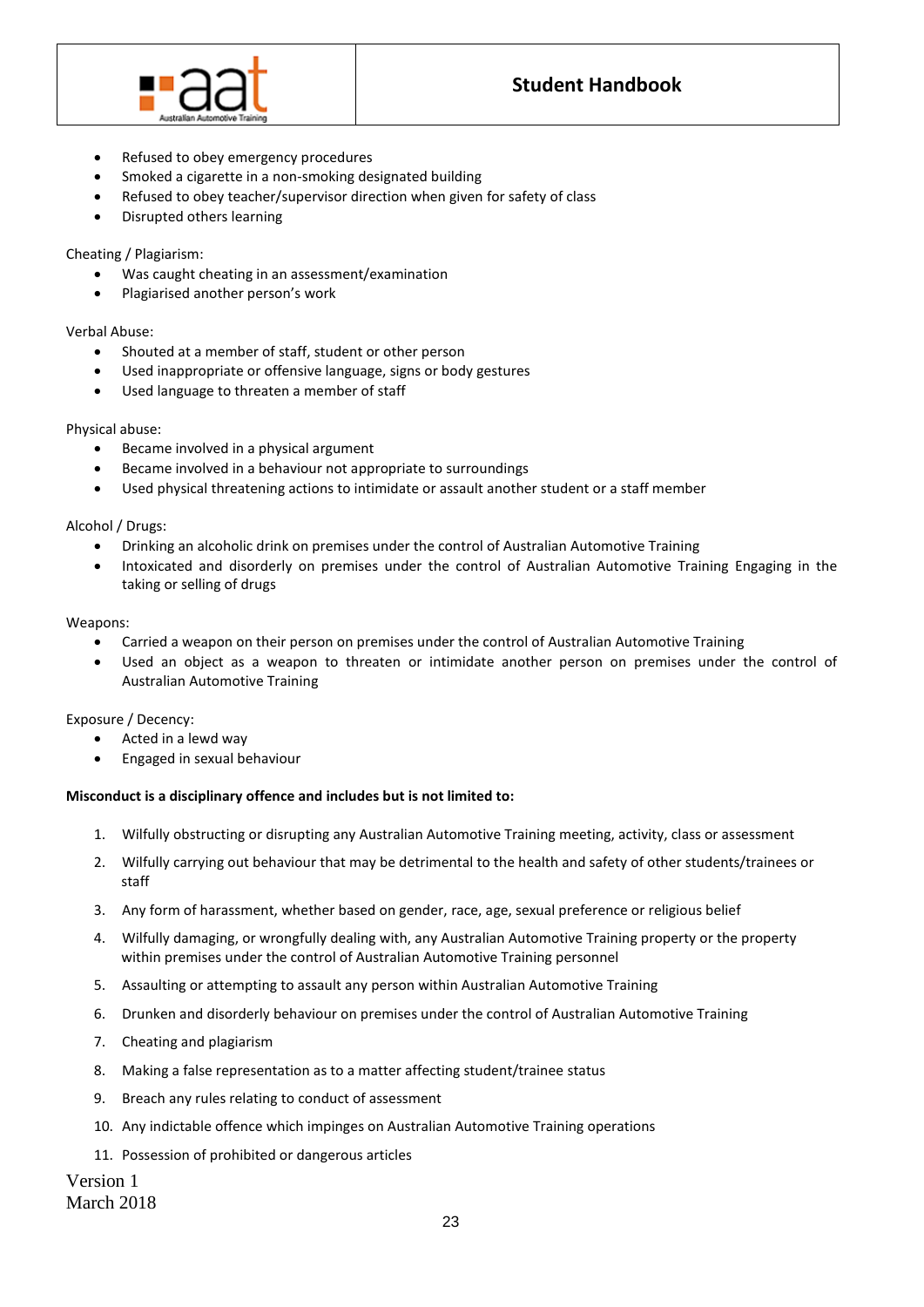

# **Student Handbook**

- Refused to obey emergency procedures
- Smoked a cigarette in a non-smoking designated building
- Refused to obey teacher/supervisor direction when given for safety of class
- Disrupted others learning

### Cheating / Plagiarism:

- Was caught cheating in an assessment/examination
- Plagiarised another person's work

### Verbal Abuse:

- Shouted at a member of staff, student or other person
- Used inappropriate or offensive language, signs or body gestures
- Used language to threaten a member of staff

### Physical abuse:

- Became involved in a physical argument
- Became involved in a behaviour not appropriate to surroundings
- Used physical threatening actions to intimidate or assault another student or a staff member

### Alcohol / Drugs:

- Drinking an alcoholic drink on premises under the control of Australian Automotive Training
- Intoxicated and disorderly on premises under the control of Australian Automotive Training Engaging in the taking or selling of drugs

### Weapons:

- Carried a weapon on their person on premises under the control of Australian Automotive Training
- Used an object as a weapon to threaten or intimidate another person on premises under the control of Australian Automotive Training

### Exposure / Decency:

- Acted in a lewd way
- Engaged in sexual behaviour

### **Misconduct is a disciplinary offence and includes but is not limited to:**

- 1. Wilfully obstructing or disrupting any Australian Automotive Training meeting, activity, class or assessment
- 2. Wilfully carrying out behaviour that may be detrimental to the health and safety of other students/trainees or staff
- 3. Any form of harassment, whether based on gender, race, age, sexual preference or religious belief
- 4. Wilfully damaging, or wrongfully dealing with, any Australian Automotive Training property or the property within premises under the control of Australian Automotive Training personnel
- 5. Assaulting or attempting to assault any person within Australian Automotive Training
- 6. Drunken and disorderly behaviour on premises under the control of Australian Automotive Training
- 7. Cheating and plagiarism
- 8. Making a false representation as to a matter affecting student/trainee status
- 9. Breach any rules relating to conduct of assessment
- 10. Any indictable offence which impinges on Australian Automotive Training operations
- 11. Possession of prohibited or dangerous articles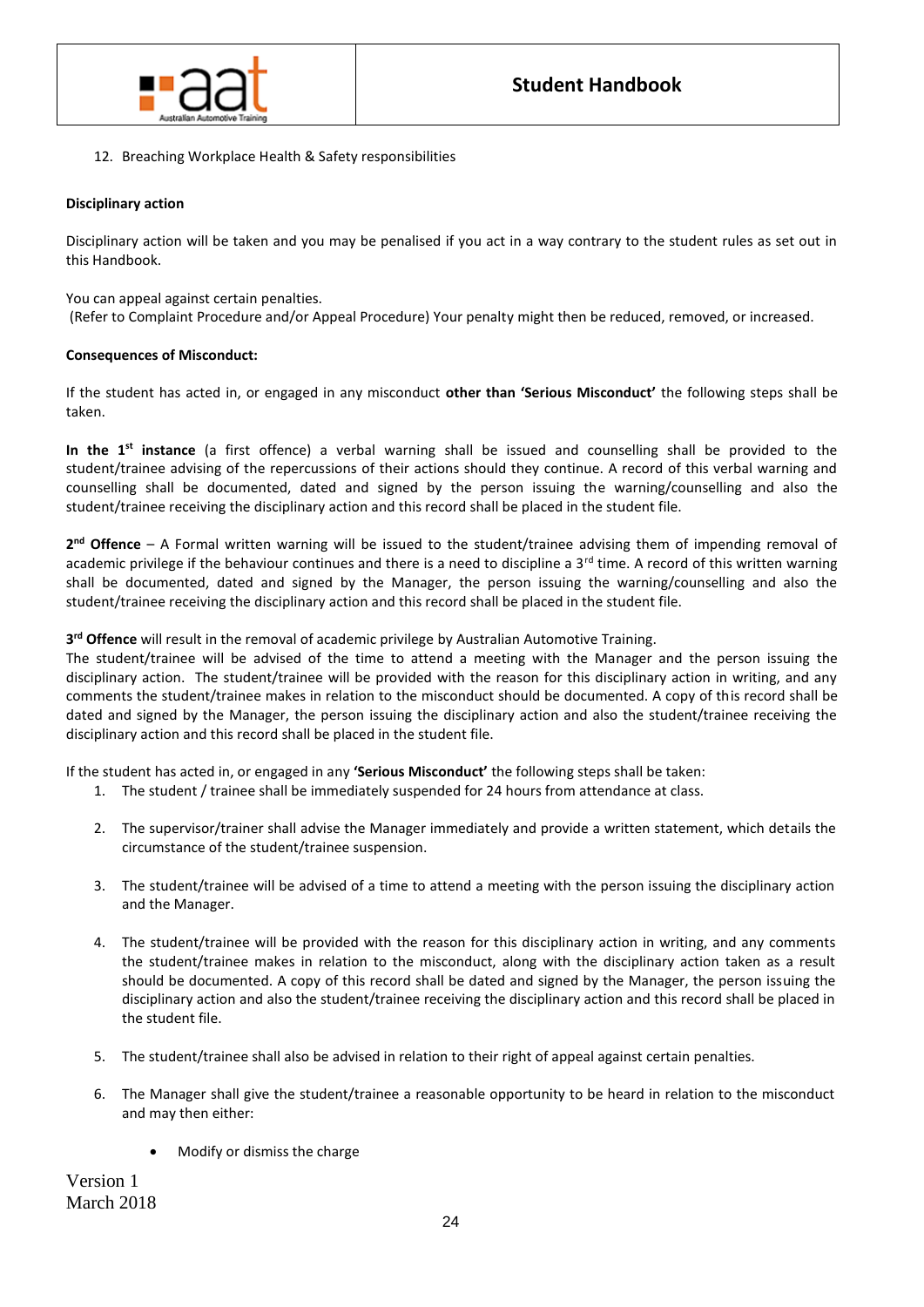

12. Breaching Workplace Health & Safety responsibilities

### **Disciplinary action**

Disciplinary action will be taken and you may be penalised if you act in a way contrary to the student rules as set out in this Handbook.

You can appeal against certain penalties.

(Refer to Complaint Procedure and/or Appeal Procedure) Your penalty might then be reduced, removed, or increased.

### **Consequences of Misconduct:**

If the student has acted in, or engaged in any misconduct **other than 'Serious Misconduct'** the following steps shall be taken.

**In the 1st instance** (a first offence) a verbal warning shall be issued and counselling shall be provided to the student/trainee advising of the repercussions of their actions should they continue. A record of this verbal warning and counselling shall be documented, dated and signed by the person issuing the warning/counselling and also the student/trainee receiving the disciplinary action and this record shall be placed in the student file.

**2 nd Offence** – A Formal written warning will be issued to the student/trainee advising them of impending removal of academic privilege if the behaviour continues and there is a need to discipline a 3<sup>rd</sup> time. A record of this written warning shall be documented, dated and signed by the Manager, the person issuing the warning/counselling and also the student/trainee receiving the disciplinary action and this record shall be placed in the student file.

**3 rd Offence** will result in the removal of academic privilege by Australian Automotive Training.

The student/trainee will be advised of the time to attend a meeting with the Manager and the person issuing the disciplinary action. The student/trainee will be provided with the reason for this disciplinary action in writing, and any comments the student/trainee makes in relation to the misconduct should be documented. A copy of this record shall be dated and signed by the Manager, the person issuing the disciplinary action and also the student/trainee receiving the disciplinary action and this record shall be placed in the student file.

If the student has acted in, or engaged in any **'Serious Misconduct'** the following steps shall be taken:

- 1. The student / trainee shall be immediately suspended for 24 hours from attendance at class.
- 2. The supervisor/trainer shall advise the Manager immediately and provide a written statement, which details the circumstance of the student/trainee suspension.
- 3. The student/trainee will be advised of a time to attend a meeting with the person issuing the disciplinary action and the Manager.
- 4. The student/trainee will be provided with the reason for this disciplinary action in writing, and any comments the student/trainee makes in relation to the misconduct, along with the disciplinary action taken as a result should be documented. A copy of this record shall be dated and signed by the Manager, the person issuing the disciplinary action and also the student/trainee receiving the disciplinary action and this record shall be placed in the student file.
- 5. The student/trainee shall also be advised in relation to their right of appeal against certain penalties.
- 6. The Manager shall give the student/trainee a reasonable opportunity to be heard in relation to the misconduct and may then either:
	- Modify or dismiss the charge